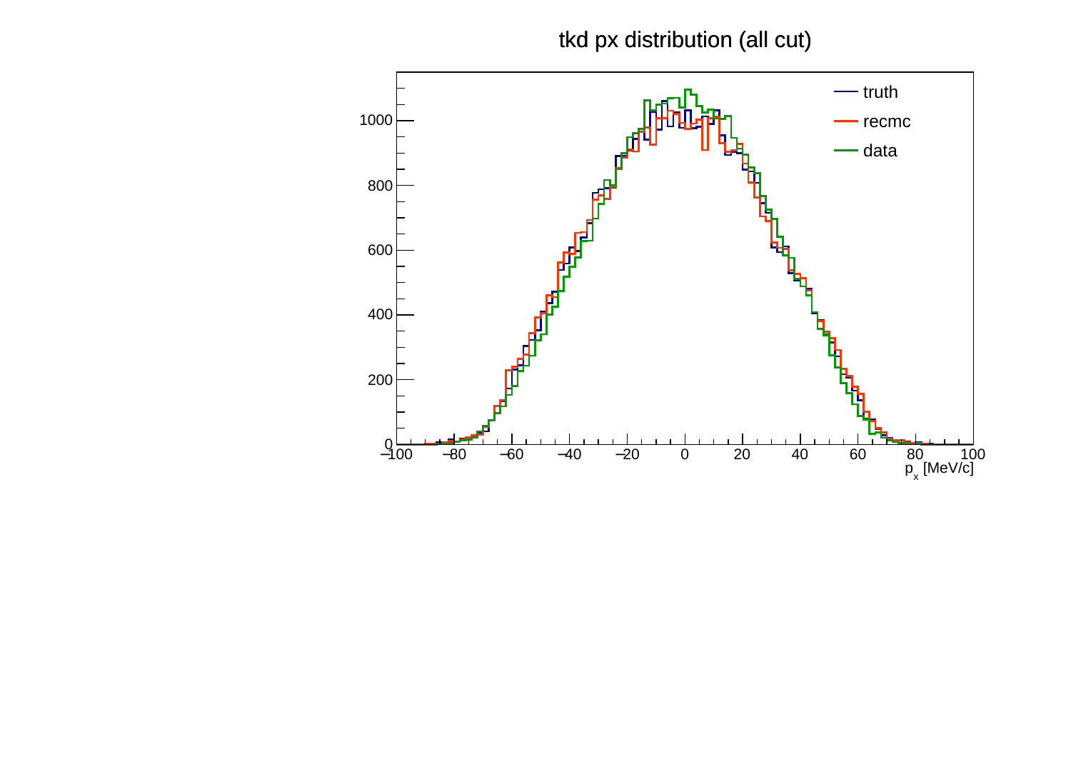tkd px distribution (all cut)

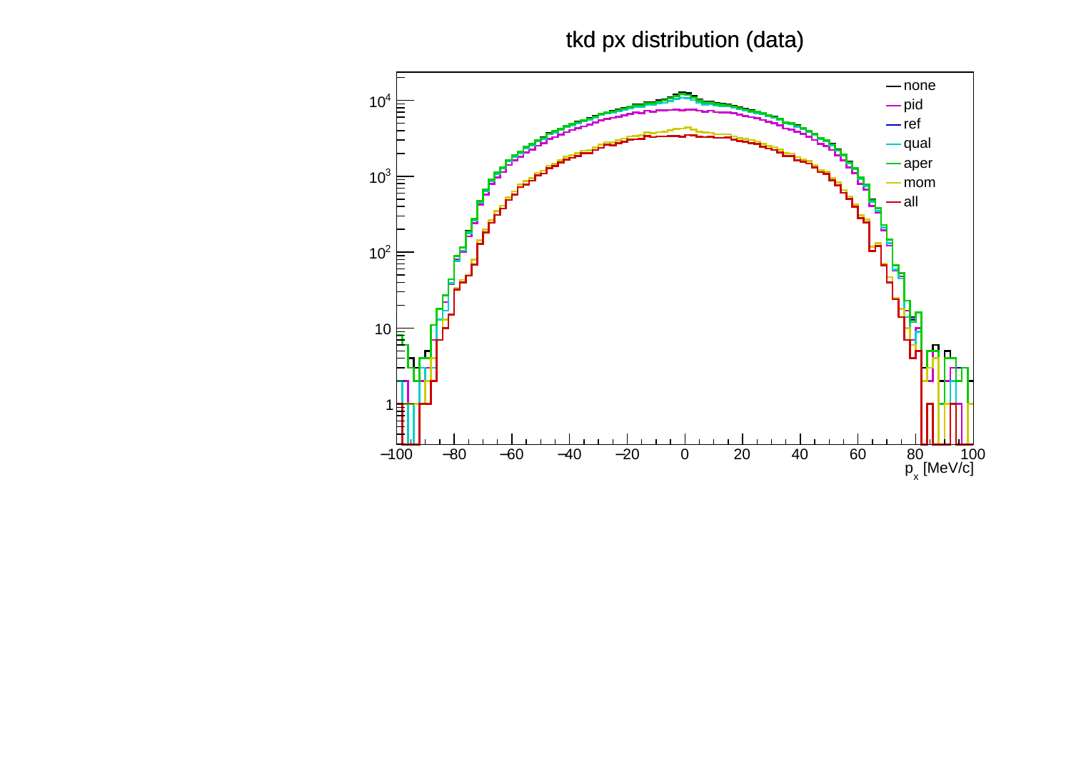tkd px distribution (data)

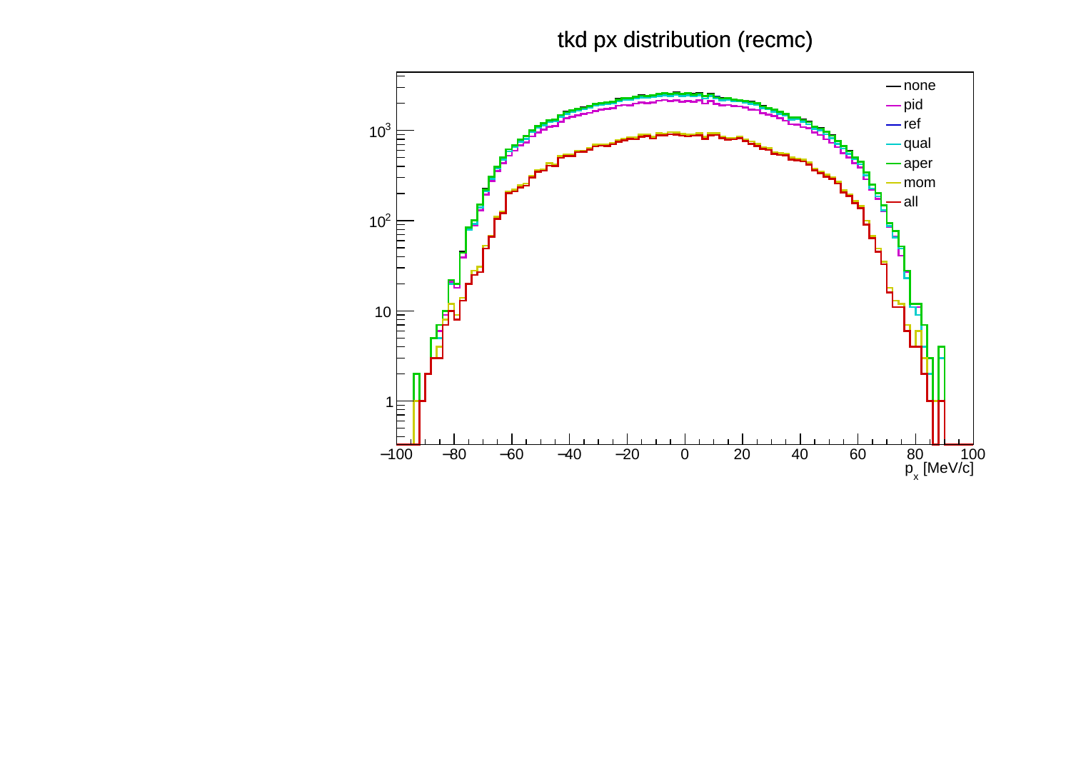tkd px distribution (recmc)

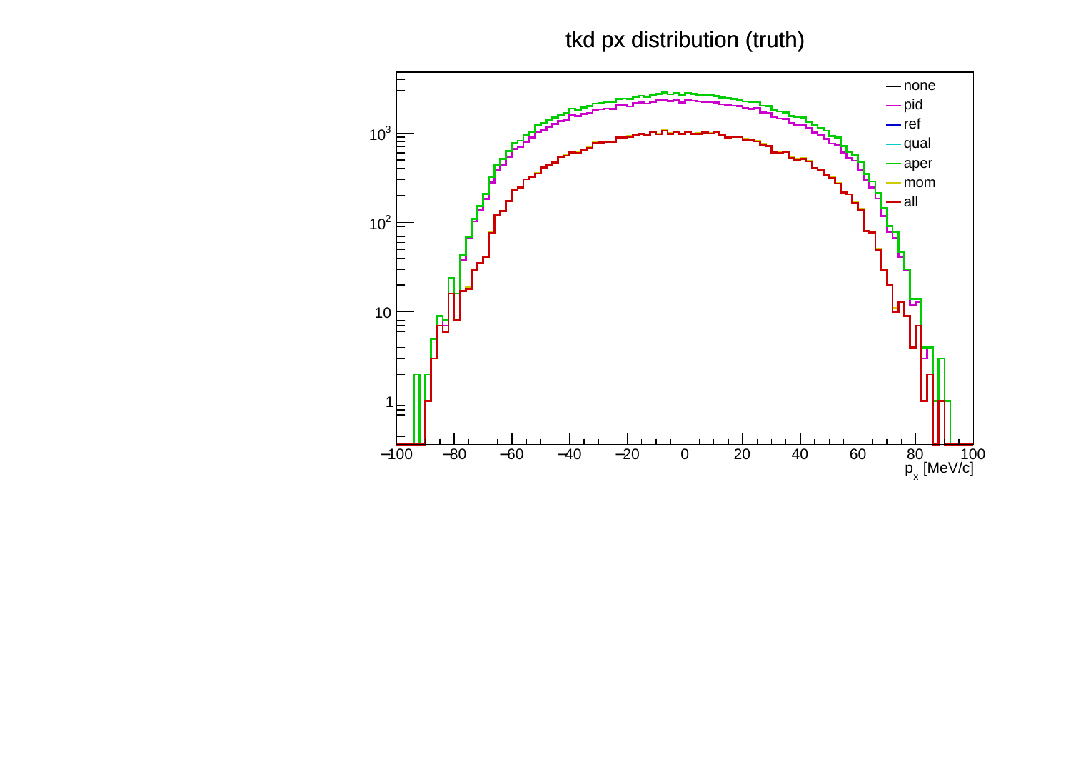tkd px distribution (truth)

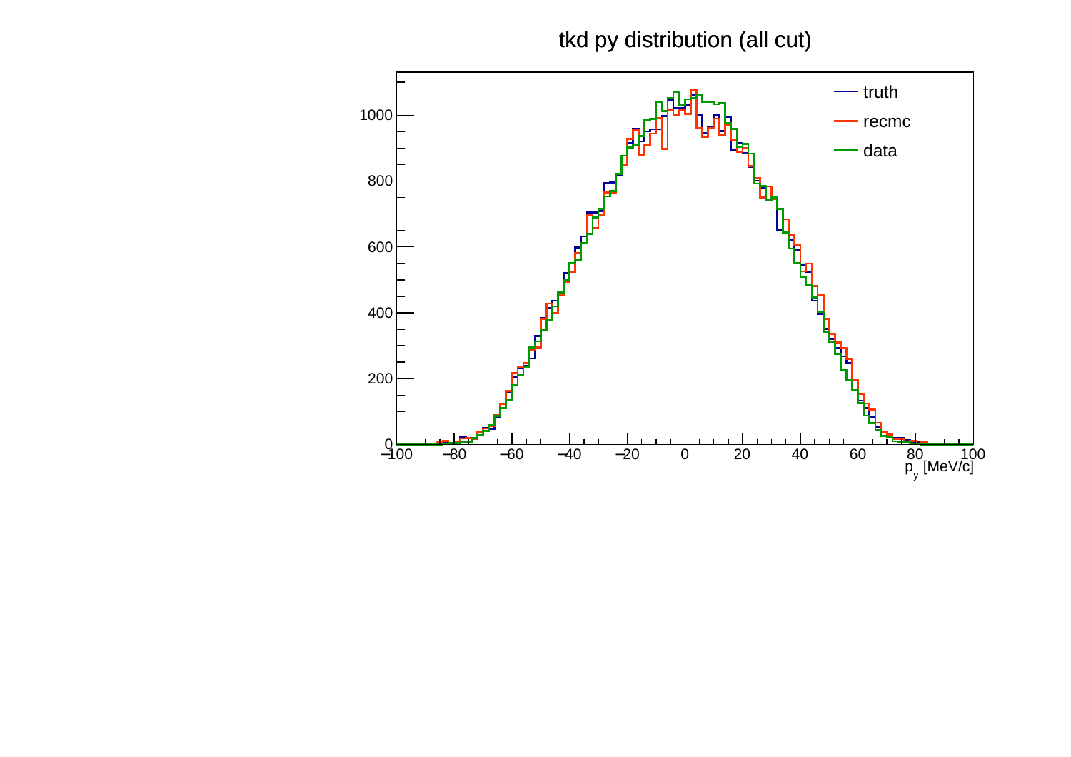tkd py distribution (all cut)

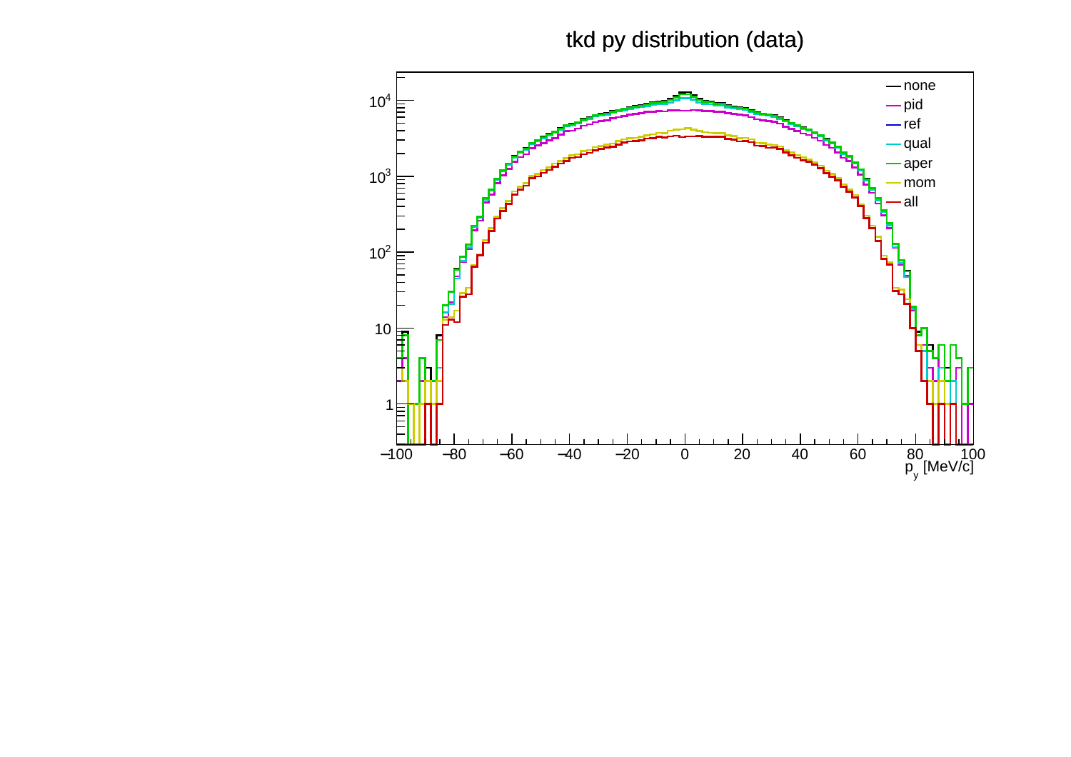tkd py distribution (data)

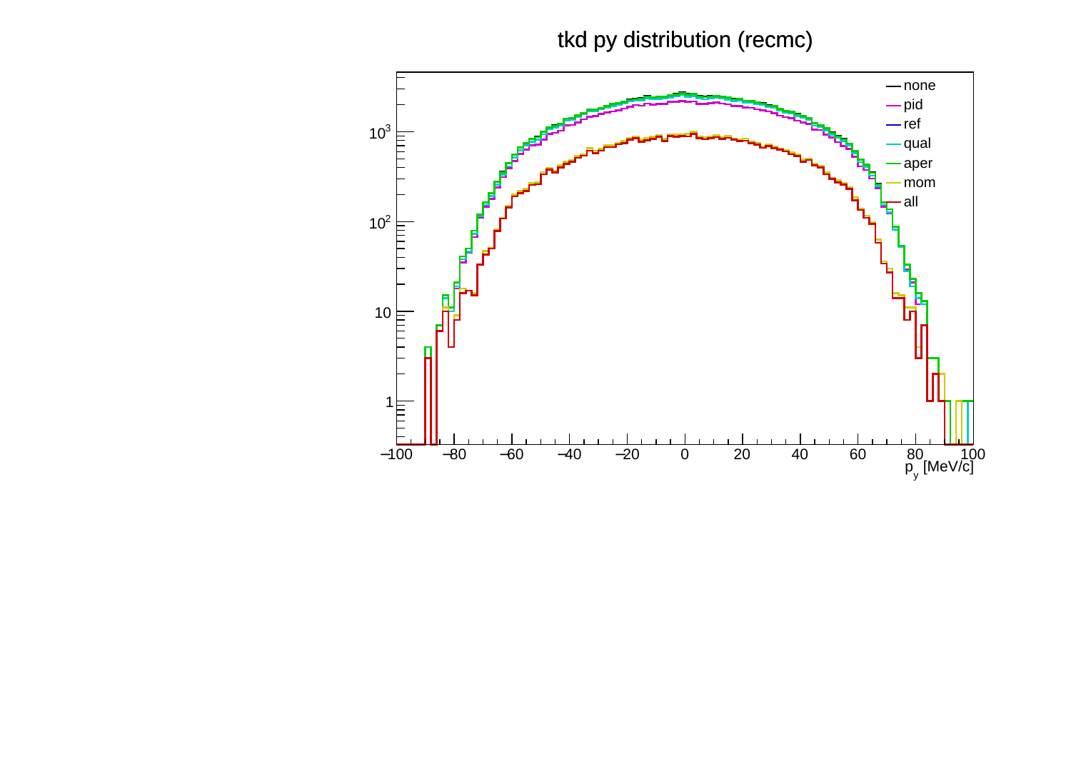tkd py distribution (recmc)

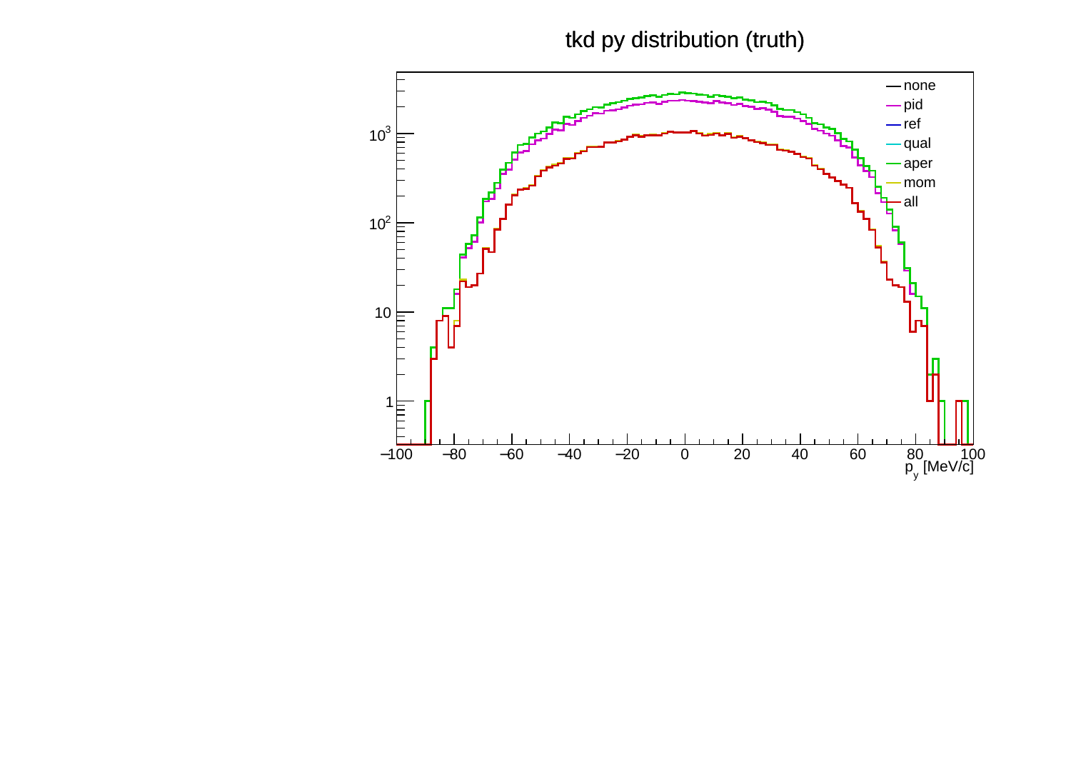tkd py distribution (truth)

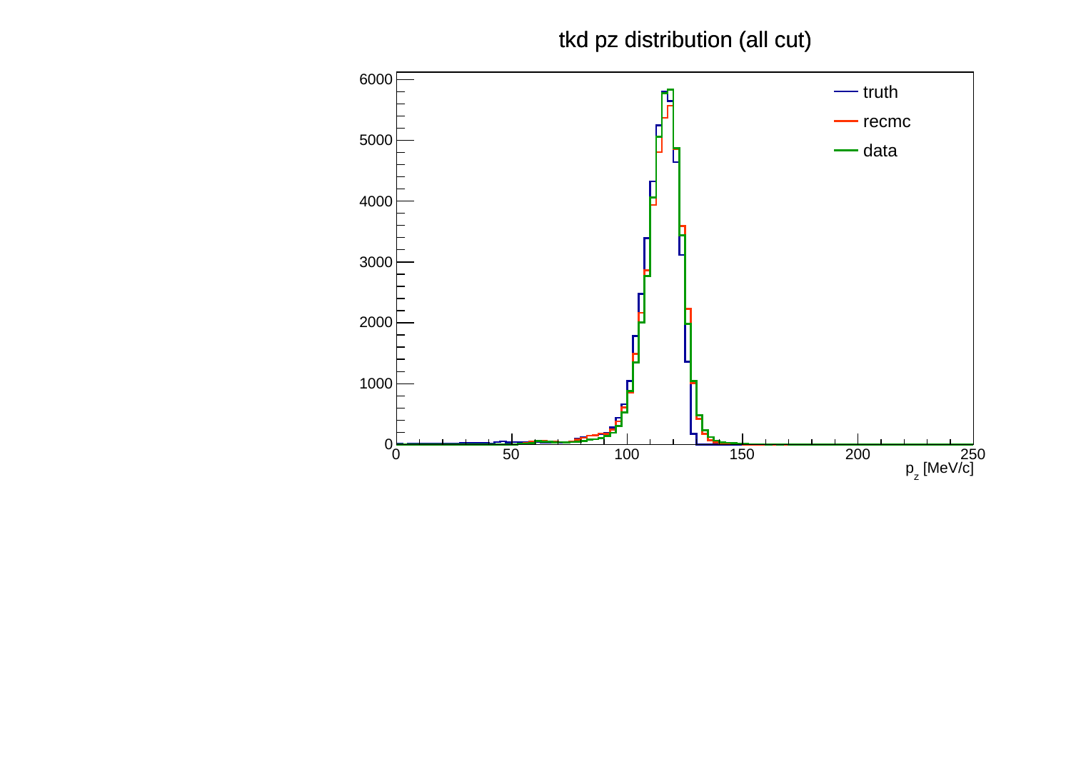tkd pz distribution (all cut)

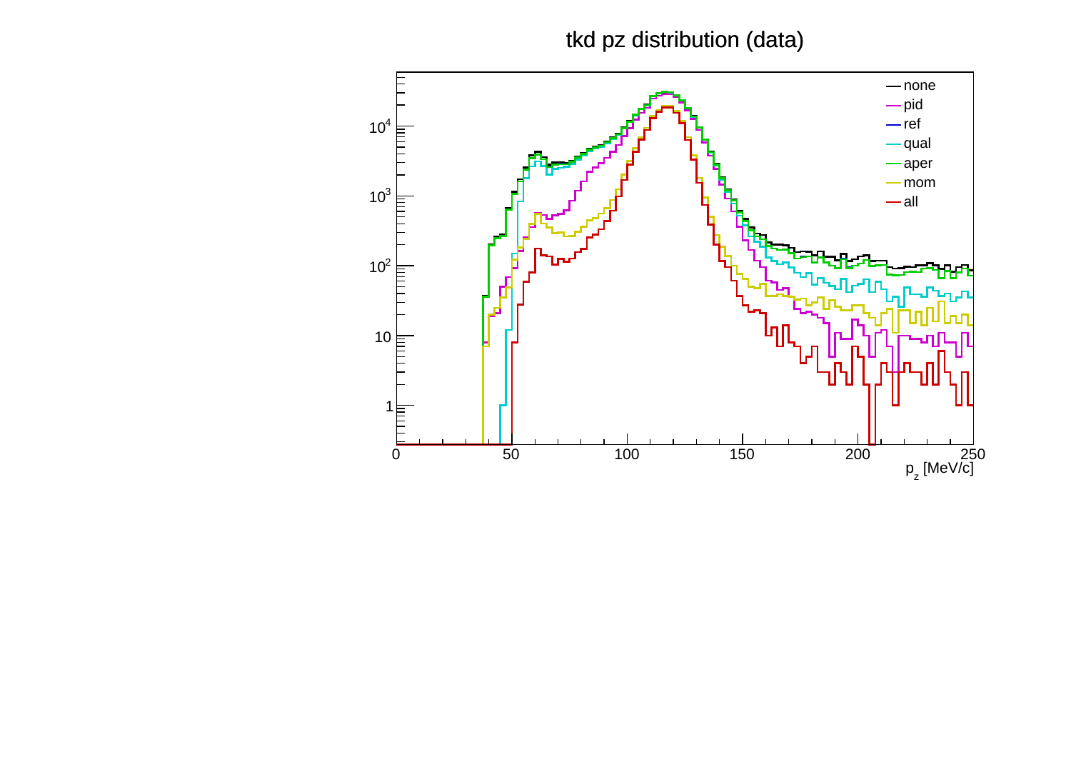## tkd pz distribution (data)

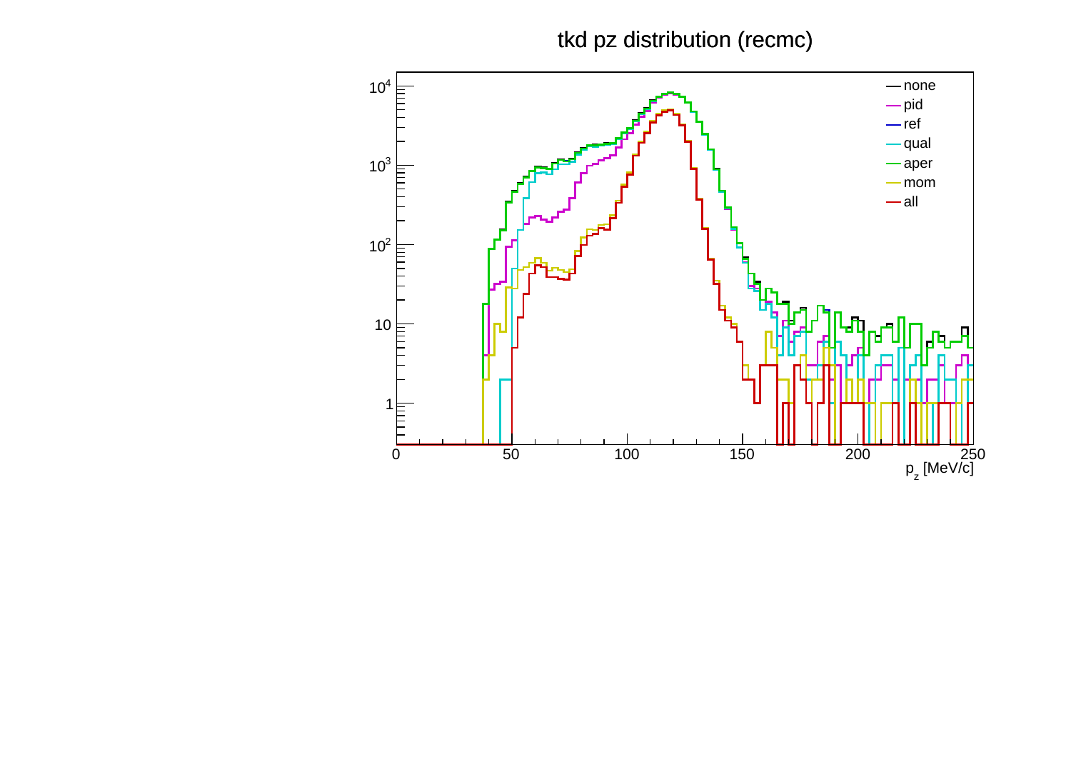## tkd pz distribution (recmc)

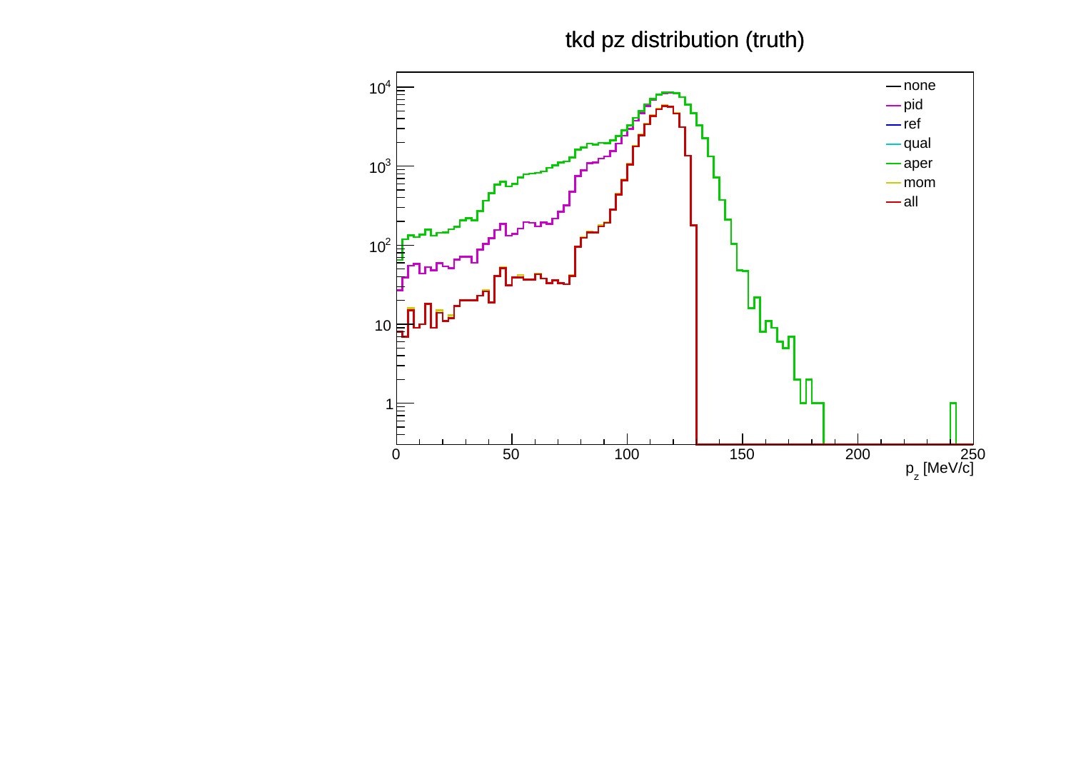## tkd pz distribution (truth)

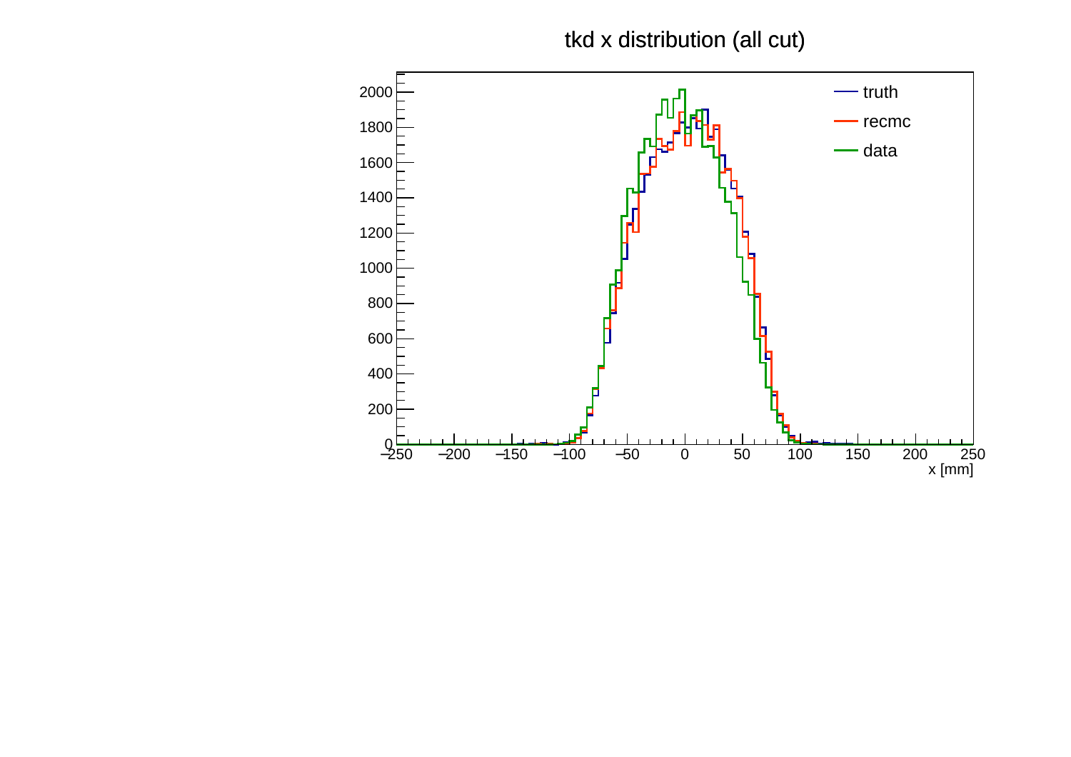tkd x distribution (all cut)

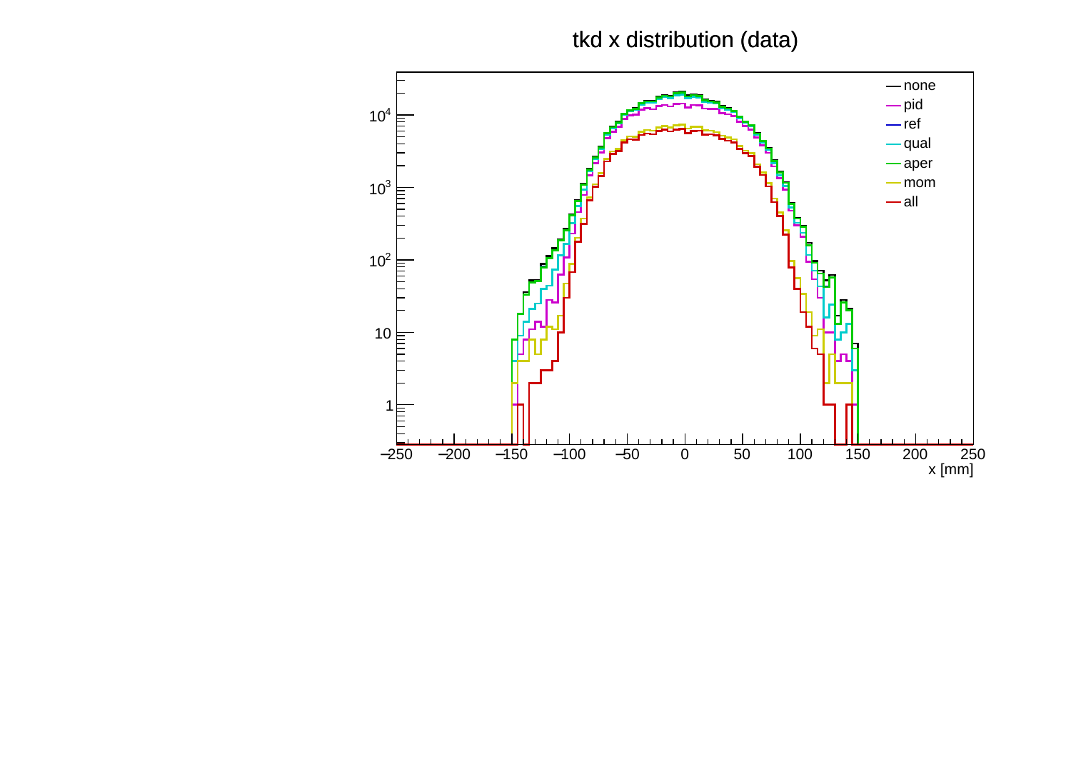## tkd x distribution (data)

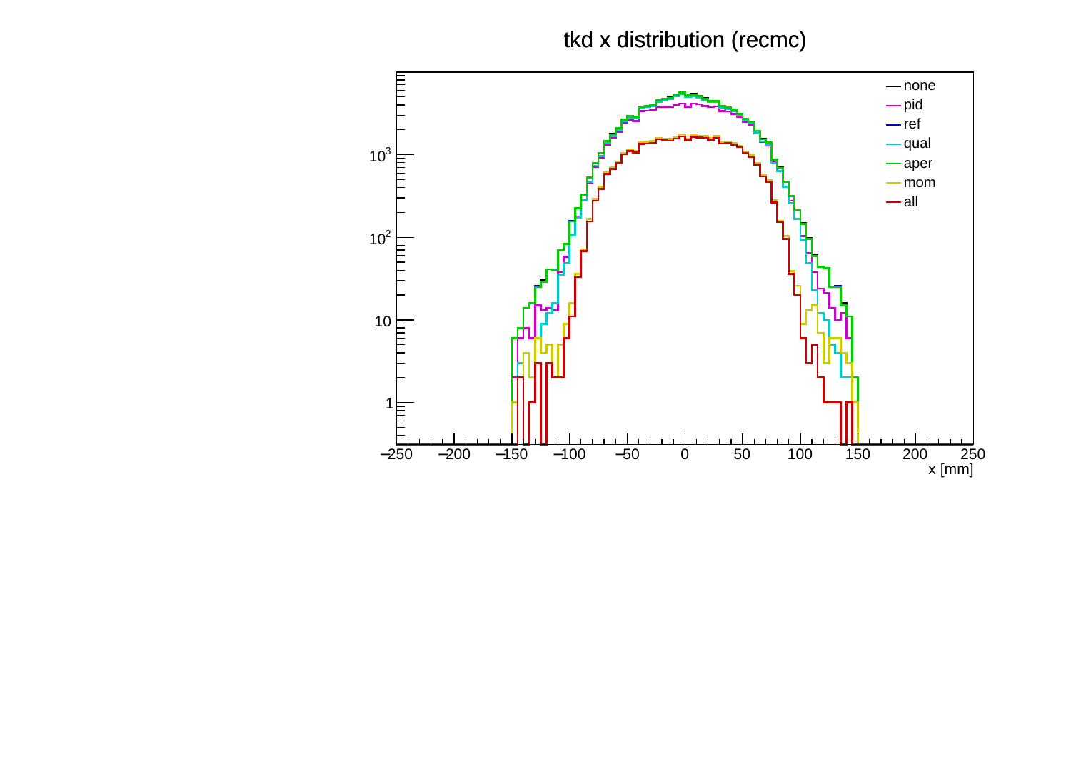## tkd x distribution (recmc)

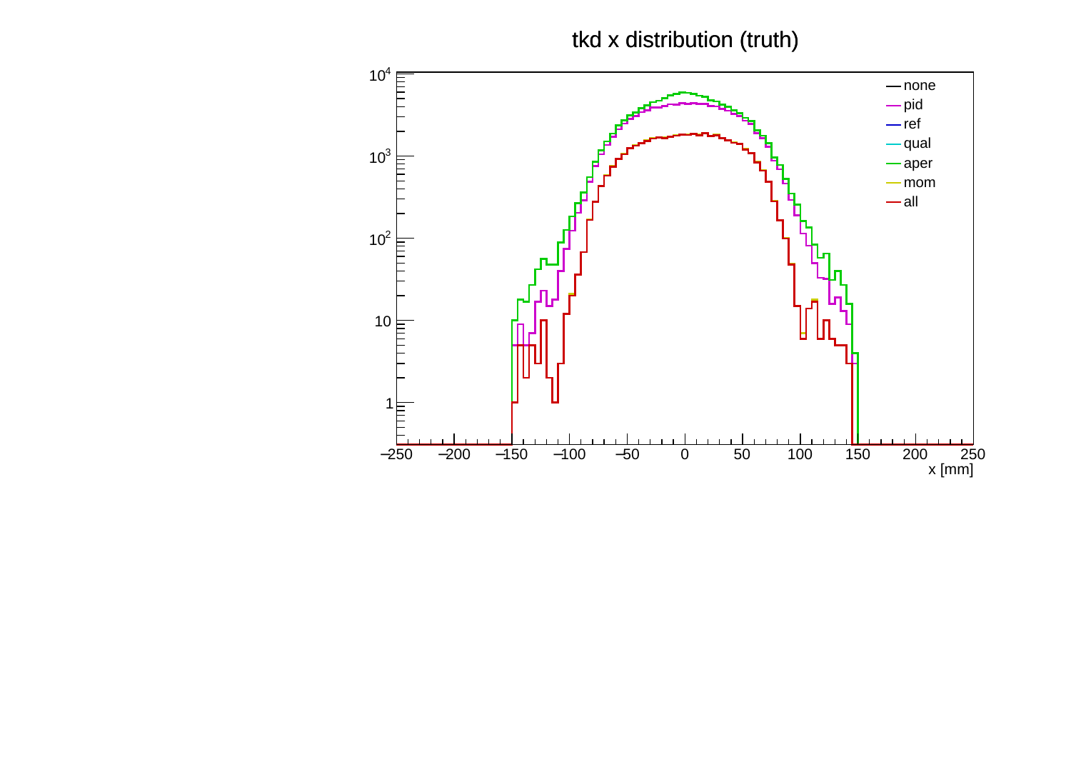tkd x distribution (truth)

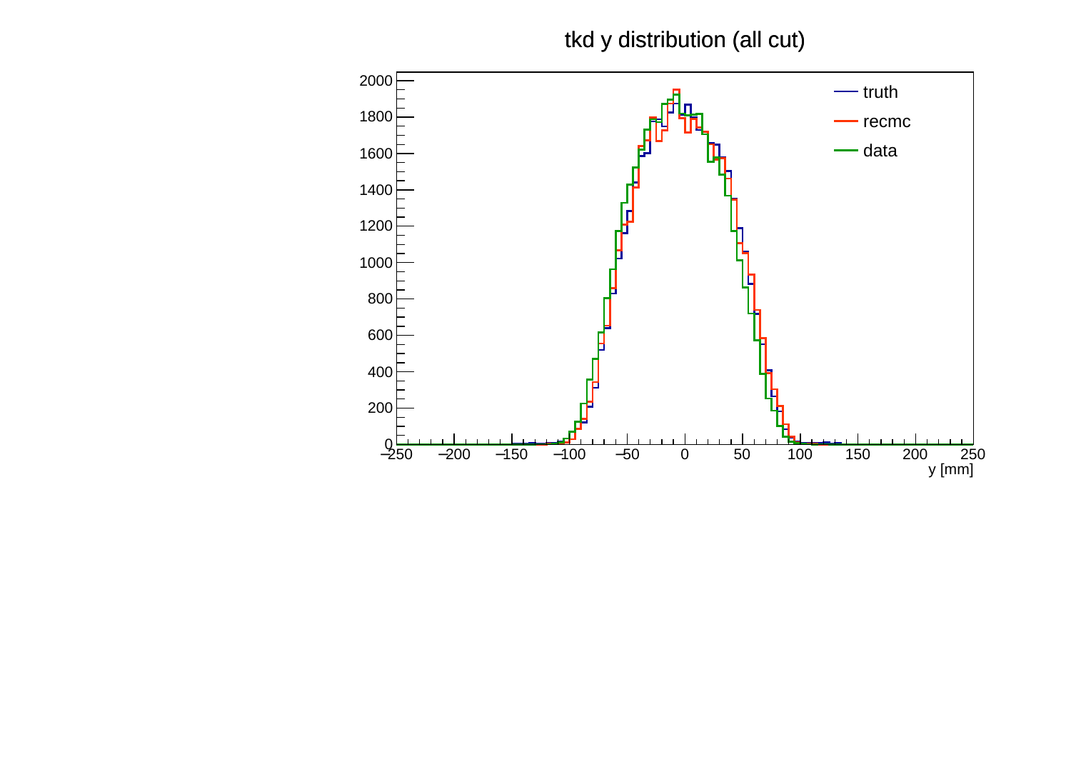tkd y distribution (all cut)

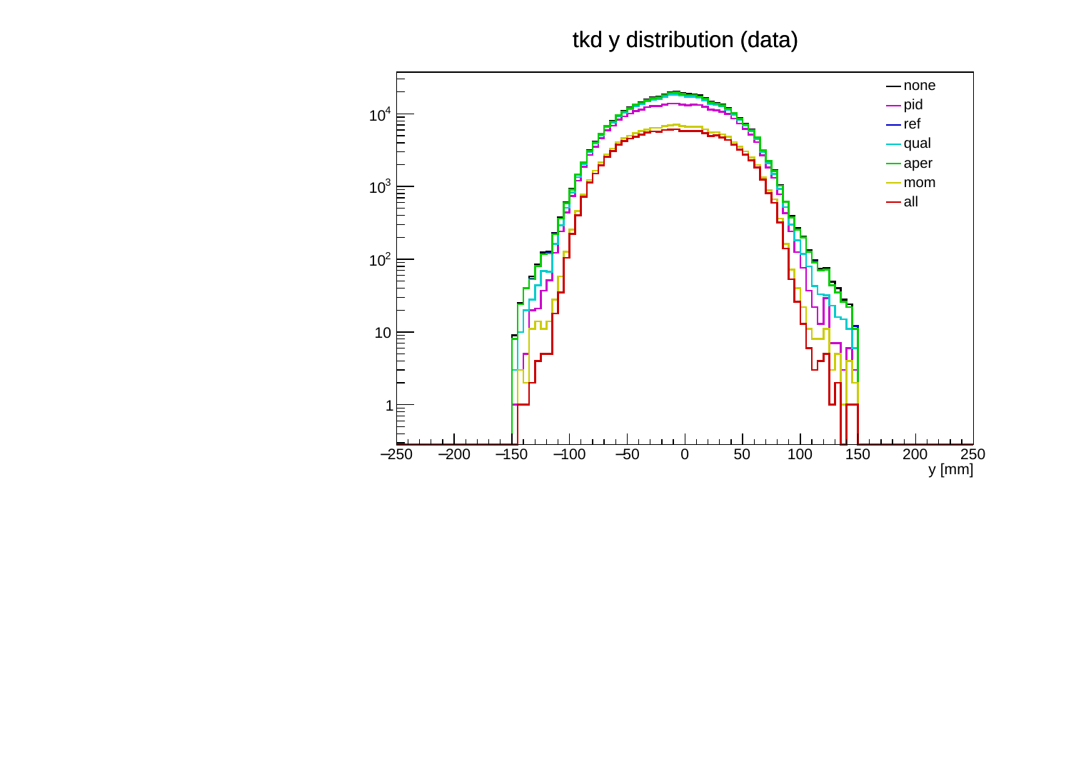## tkd y distribution (data)

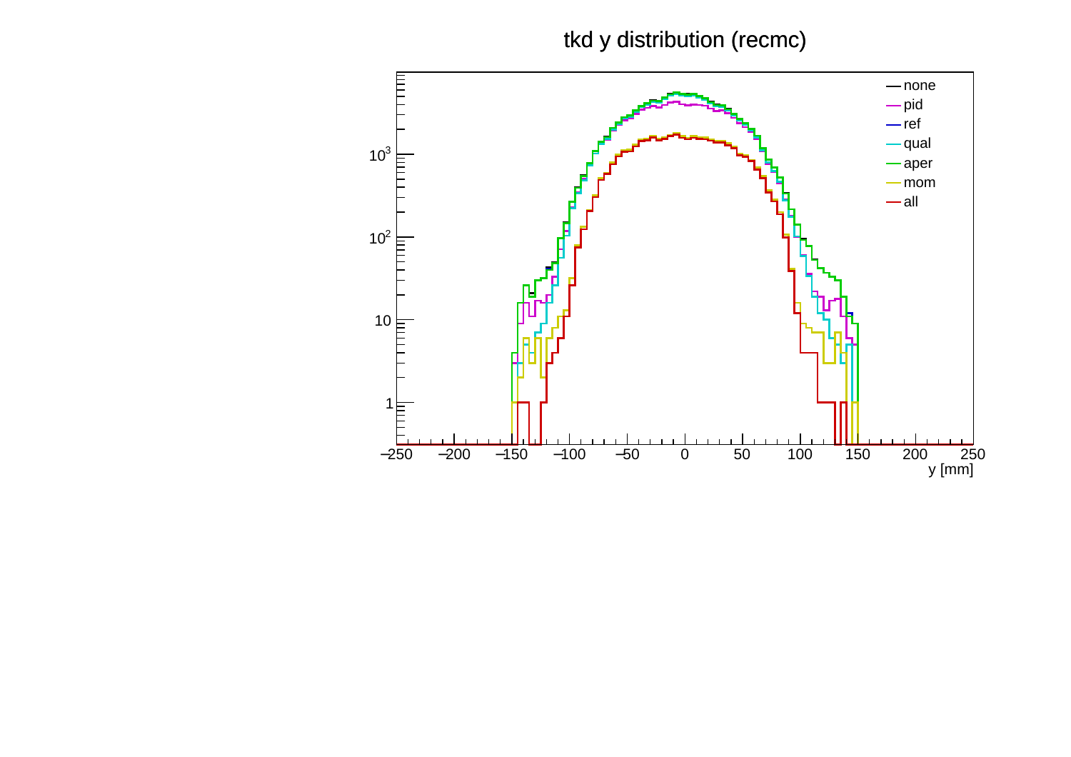## tkd y distribution (recmc)

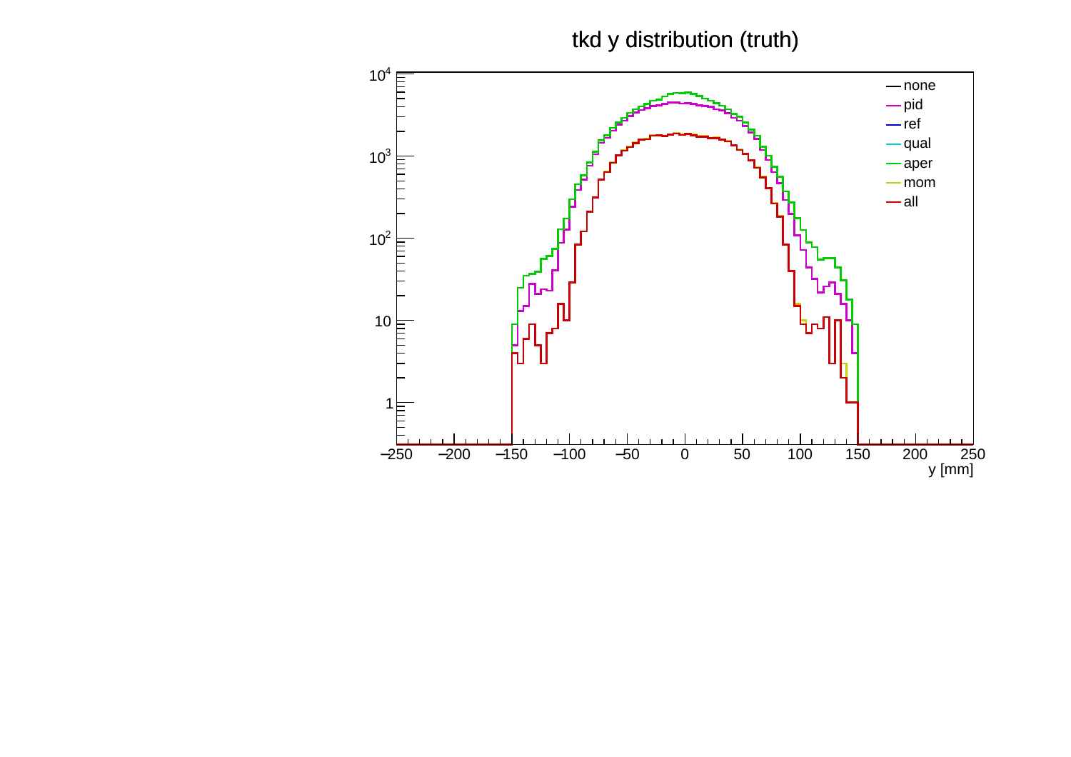tkd y distribution (truth)

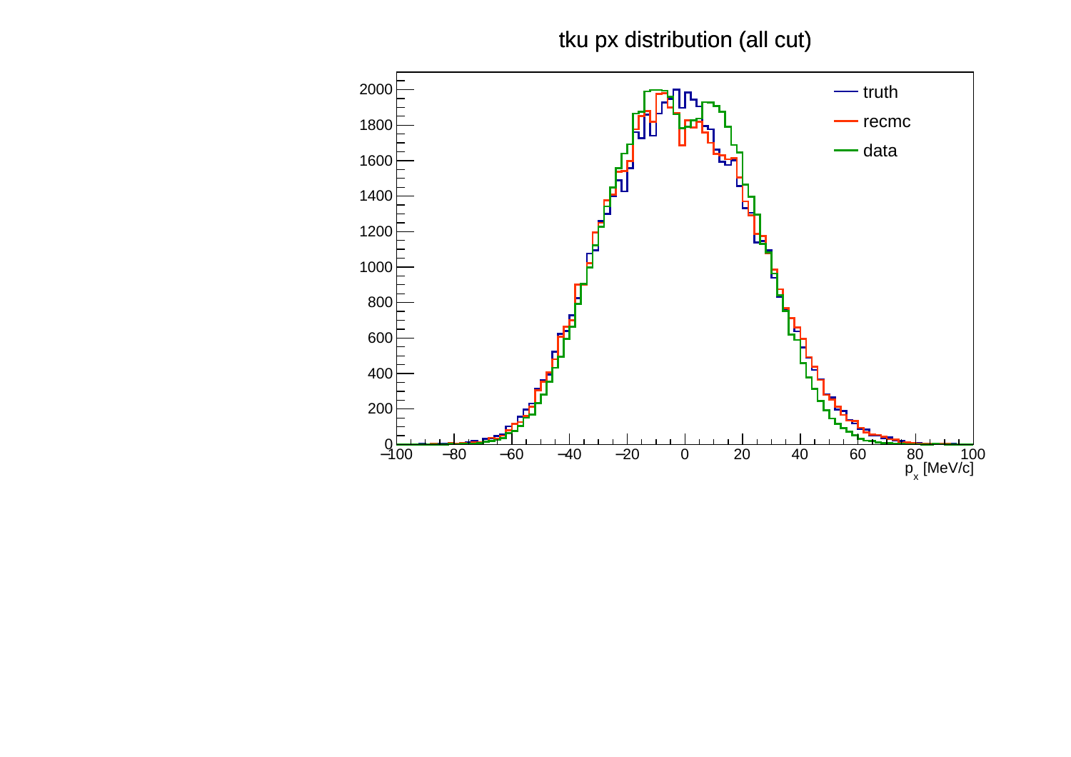## tku px distribution (all cut)

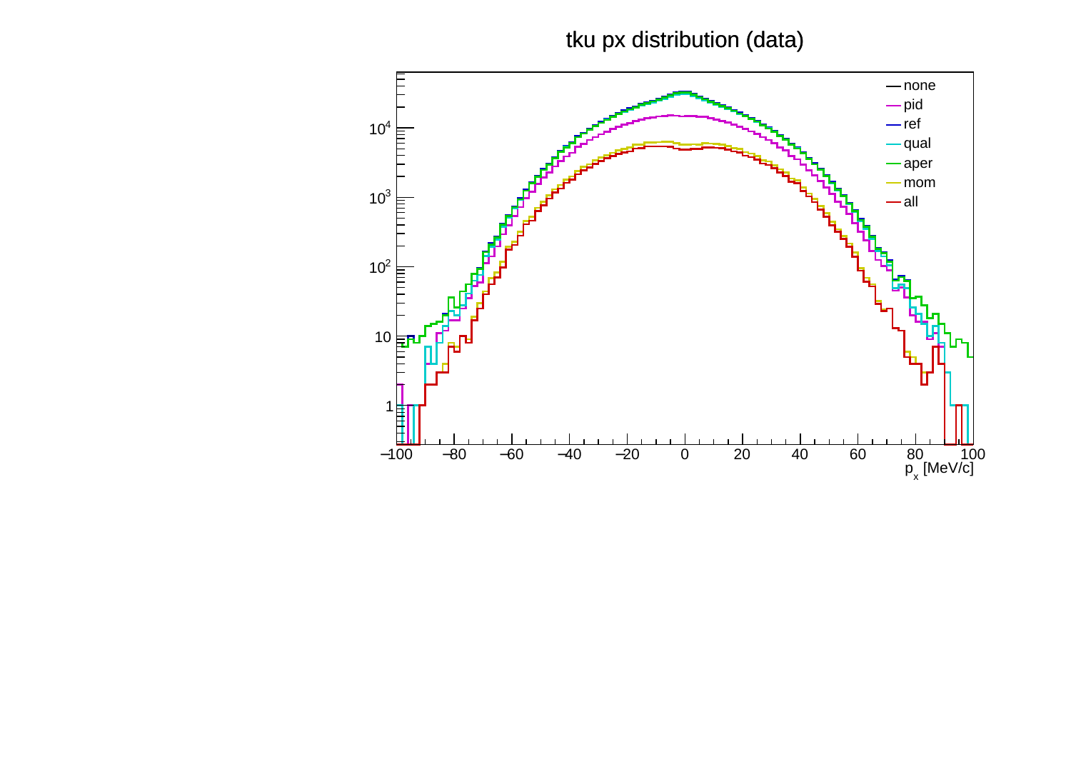tku px distribution (data)

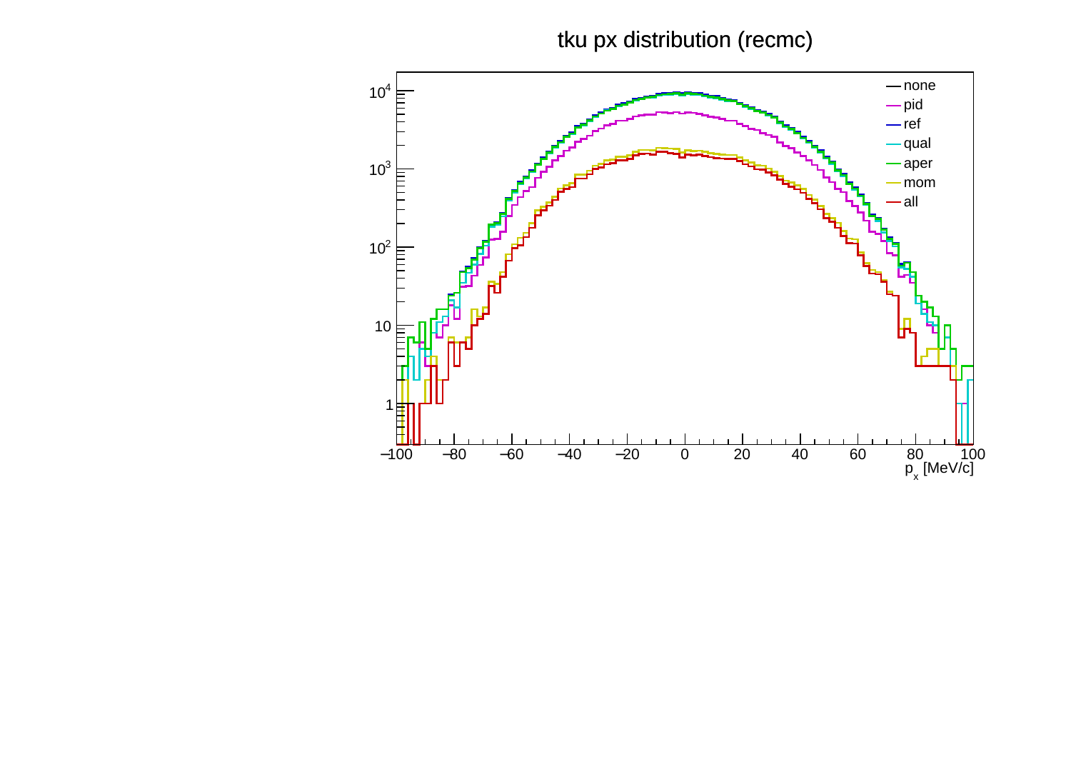tku px distribution (recmc)

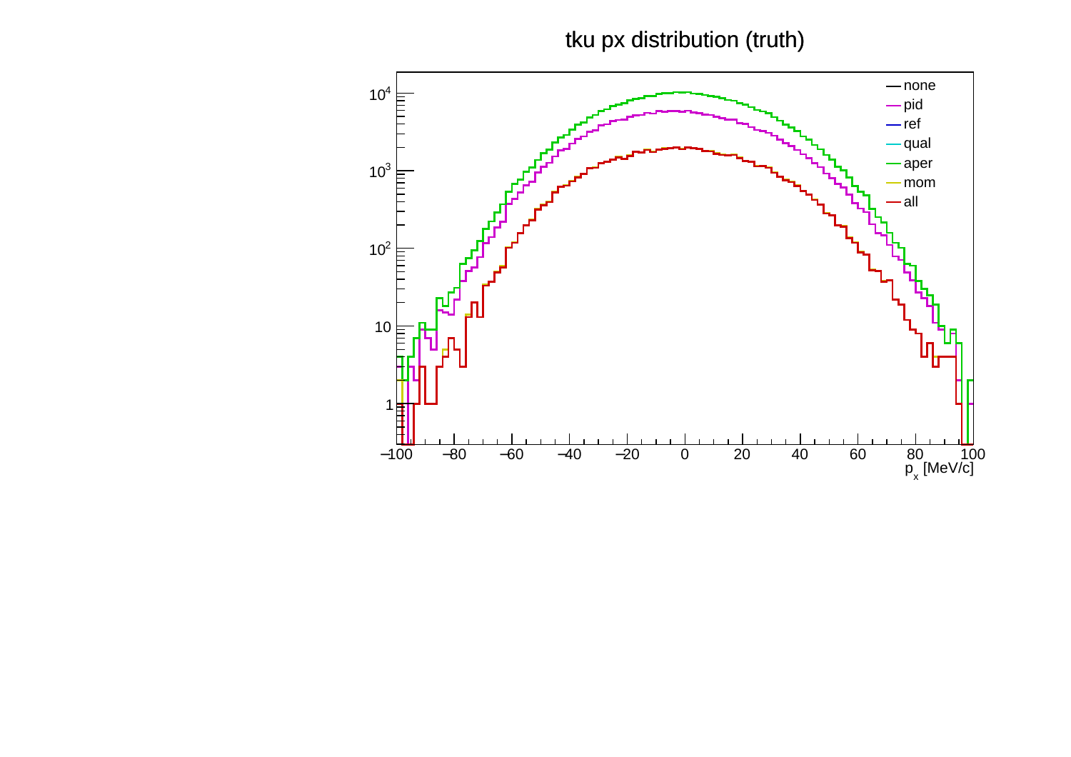tku px distribution (truth)

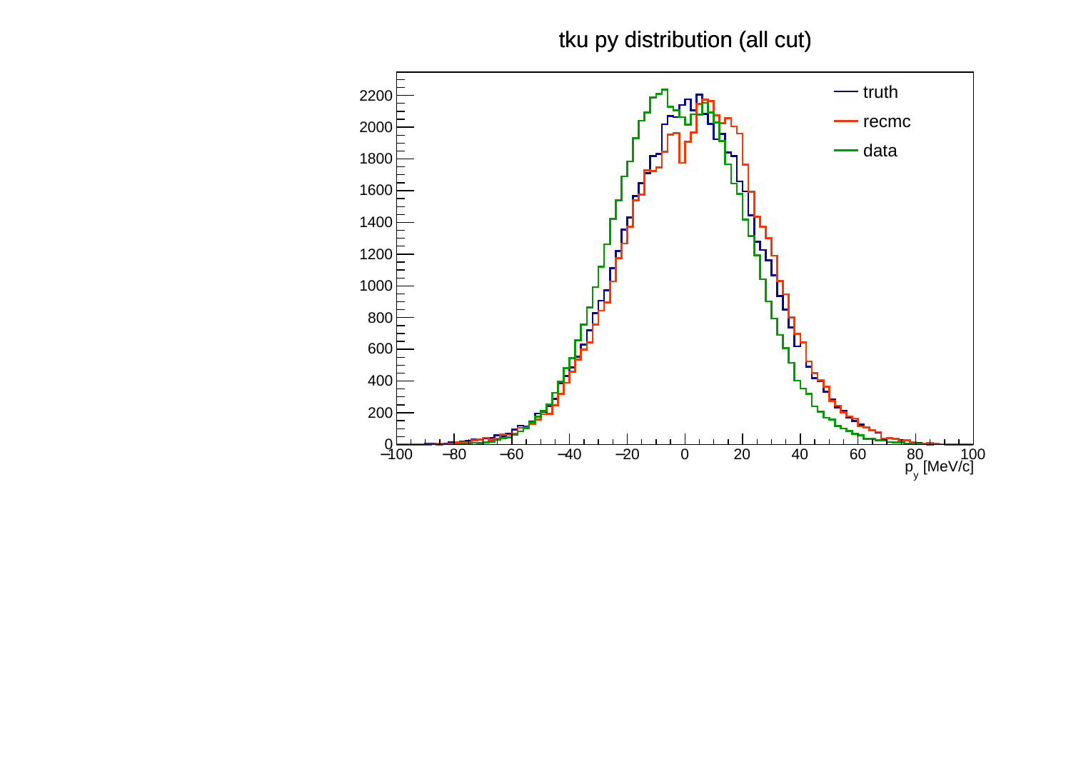## tku py distribution (all cut)

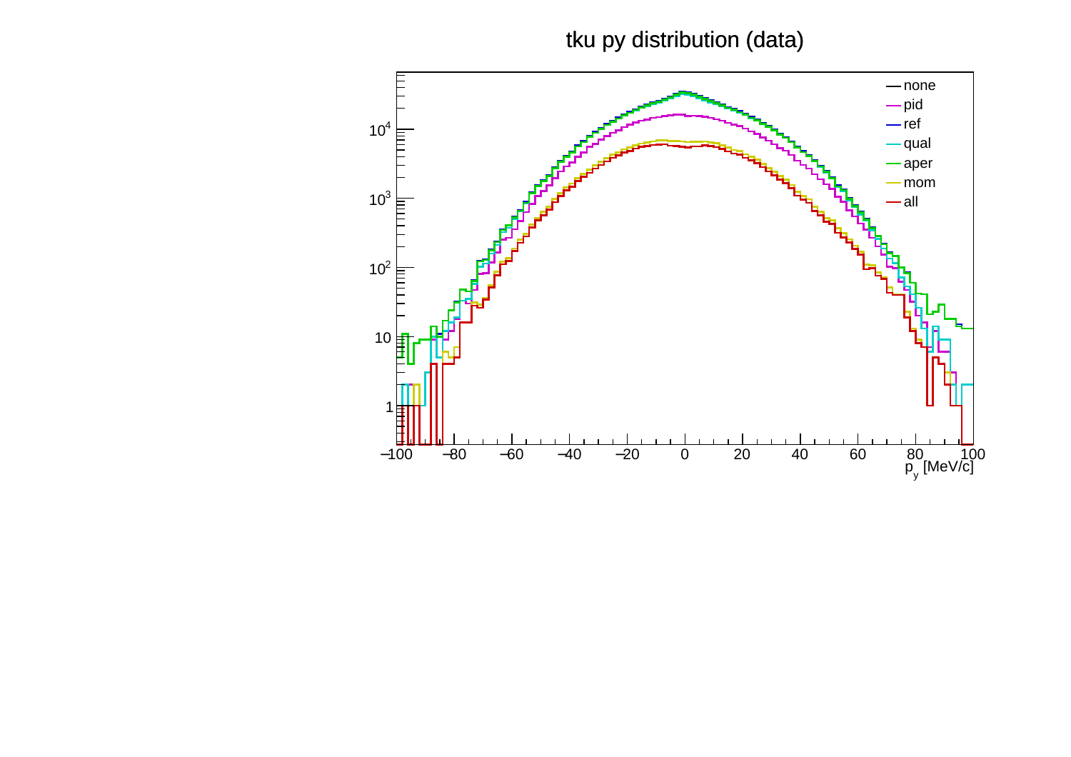tku py distribution (data)

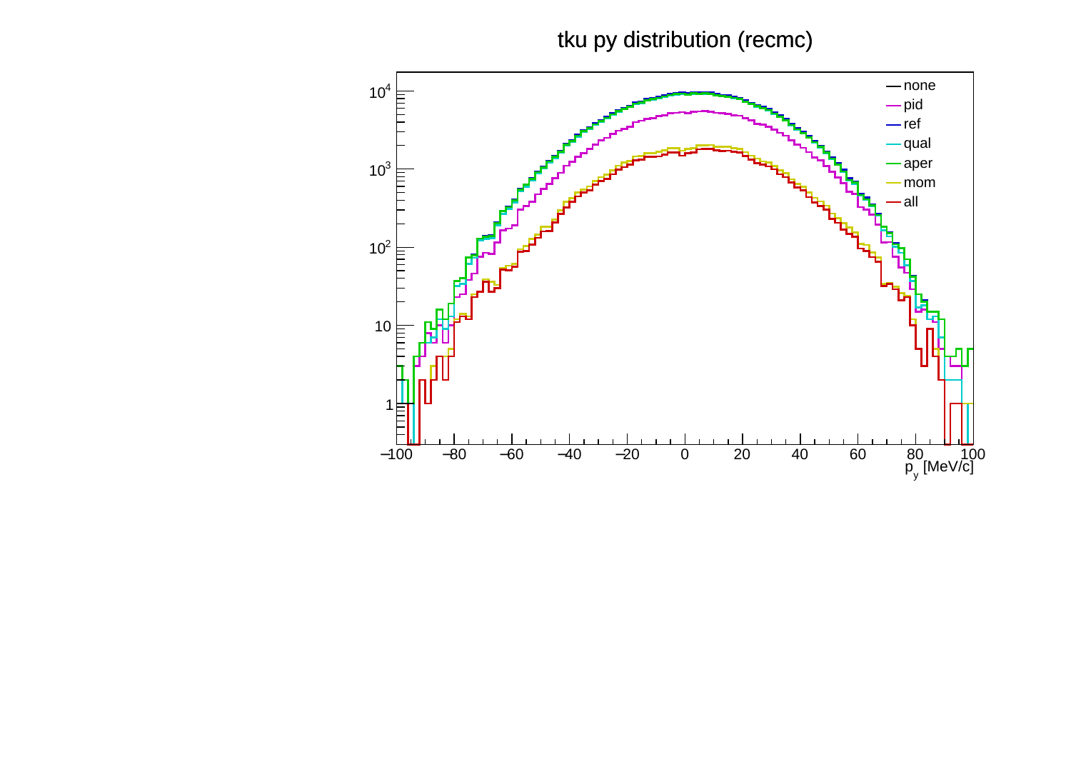## tku py distribution (recmc)

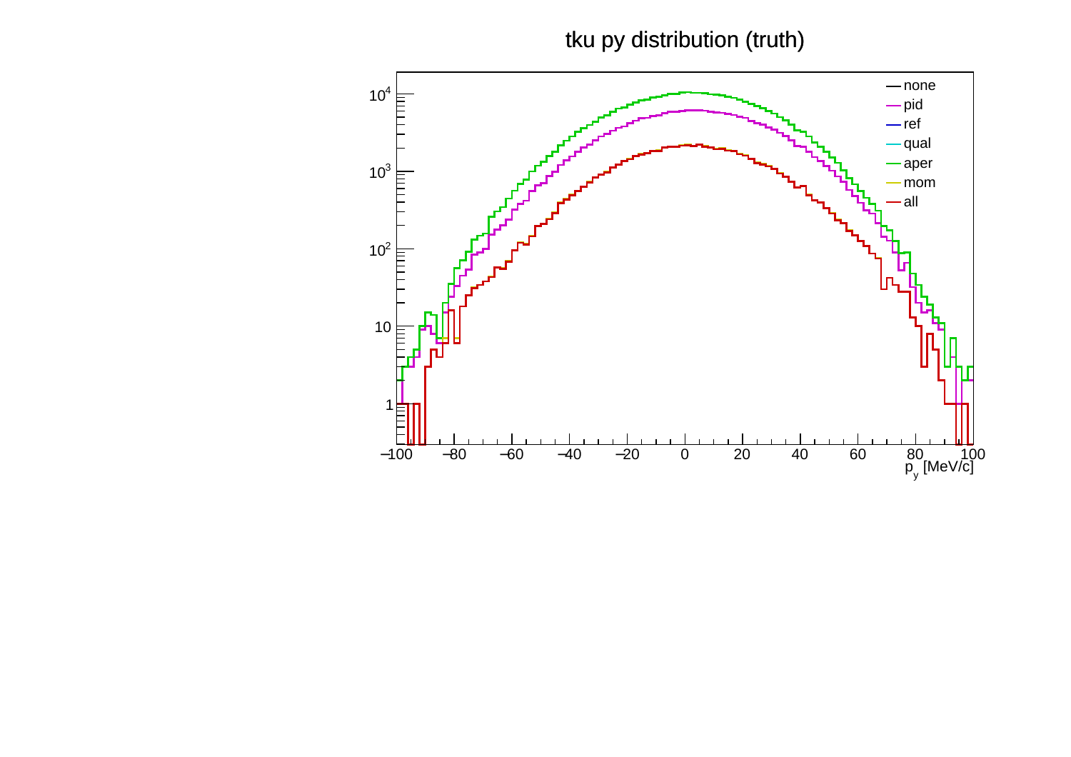# tku py distribution (truth)

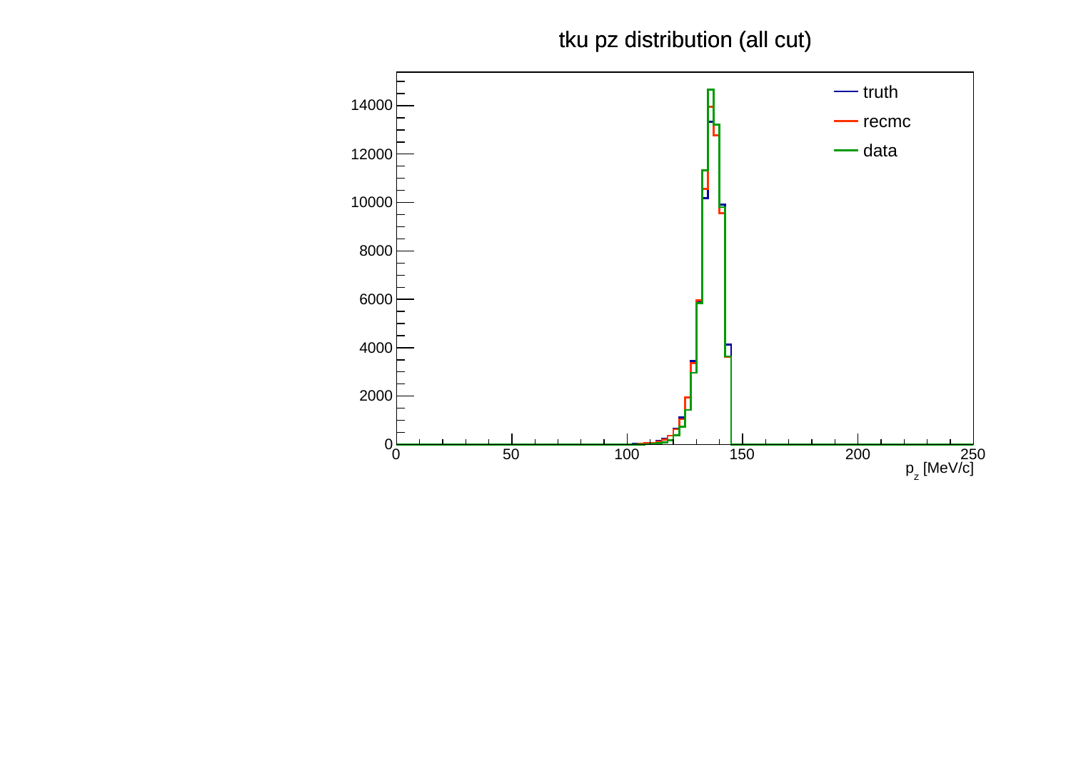tku pz distribution (all cut)

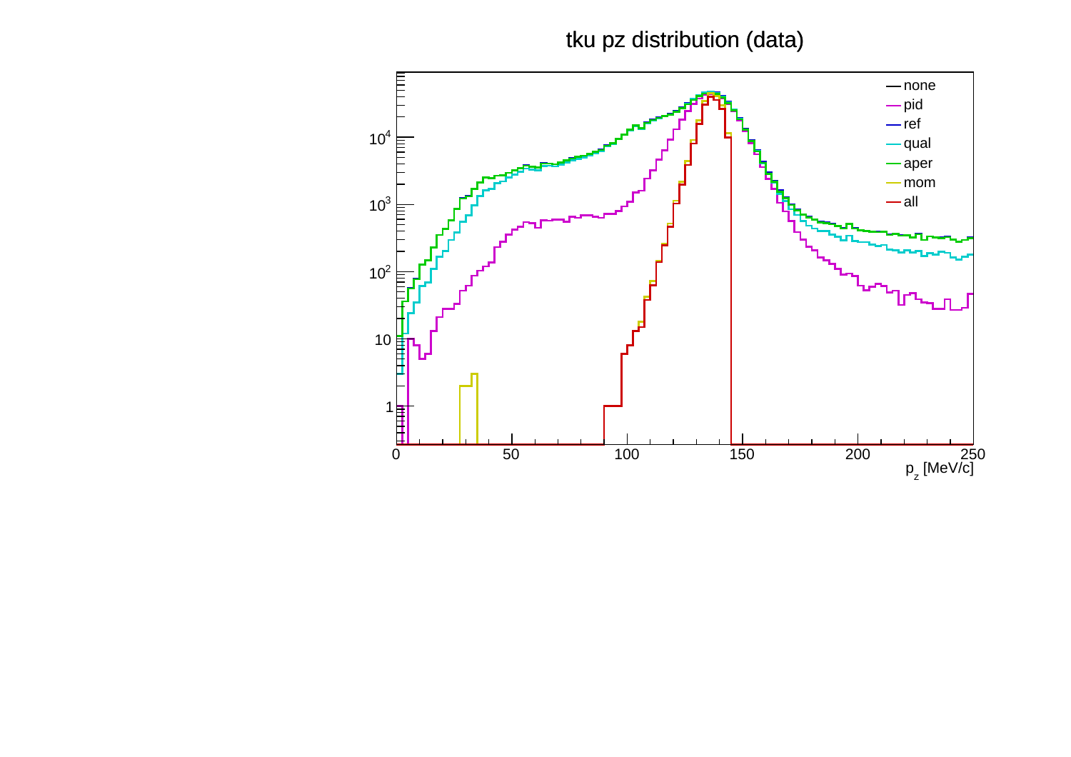## tku pz distribution (data)

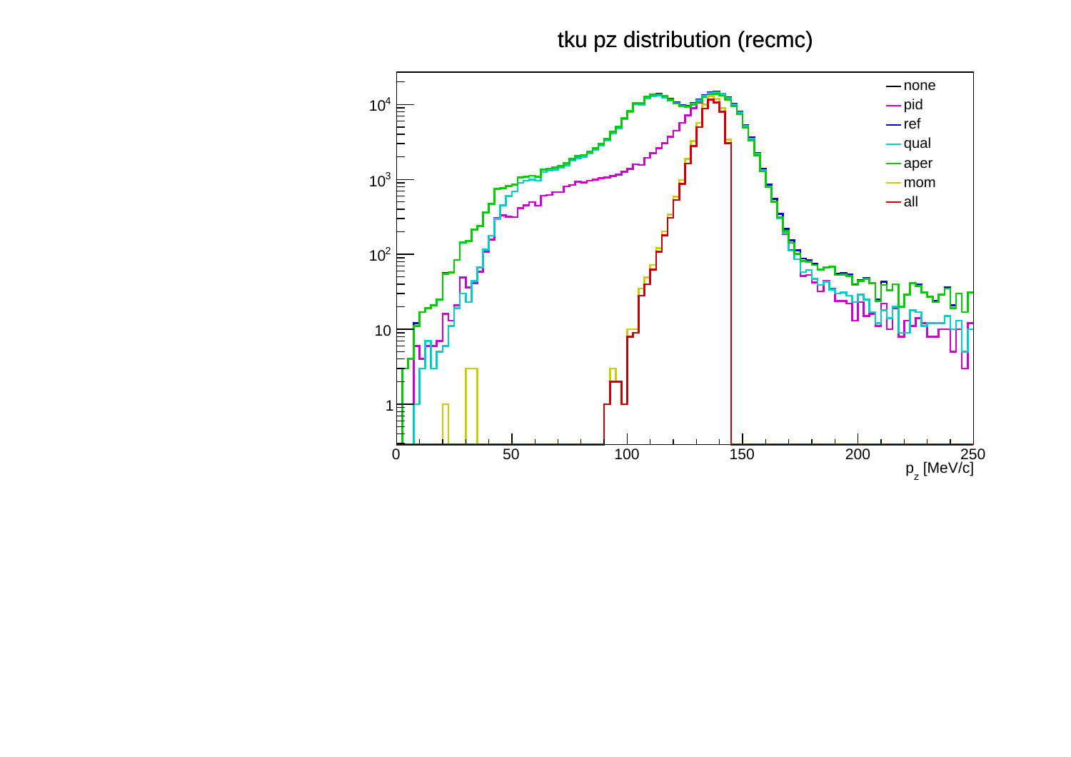## tku pz distribution (recmc)

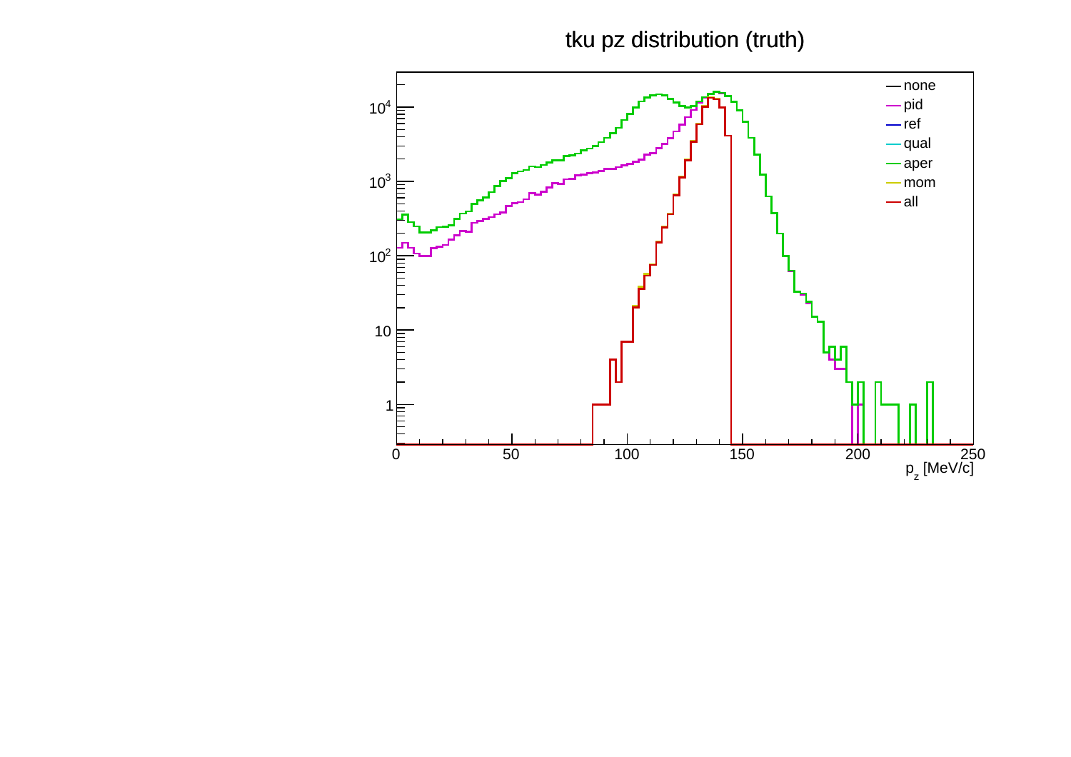## tku pz distribution (truth)

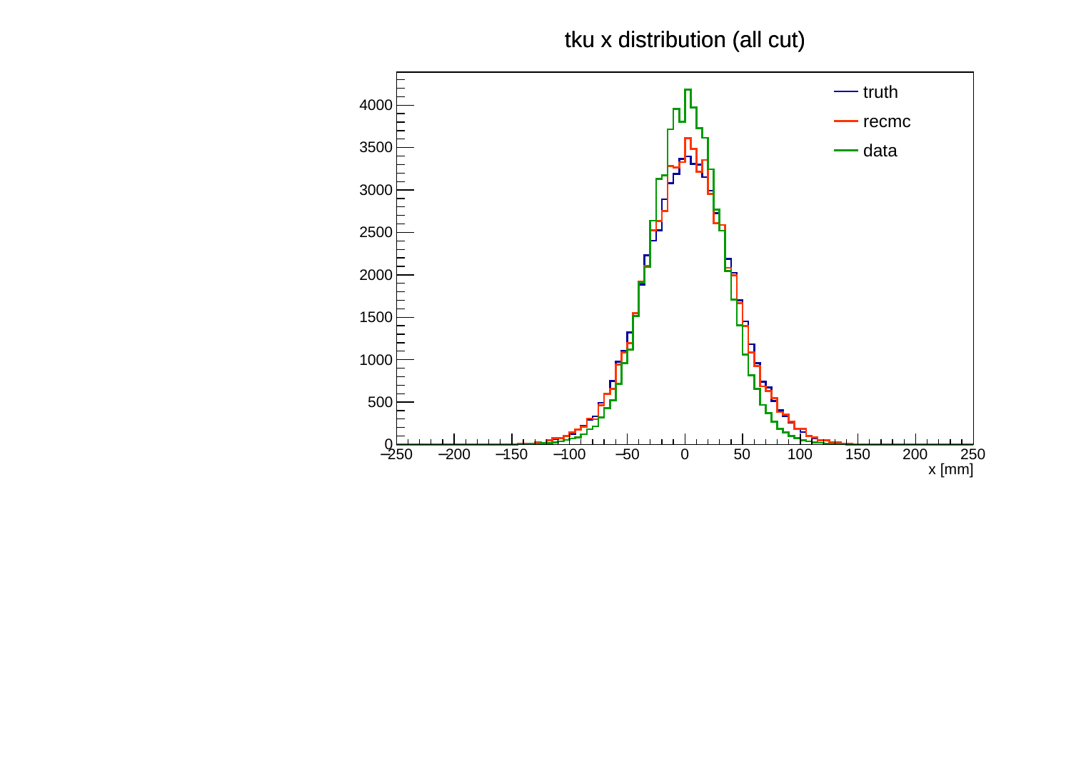tku x distribution (all cut)

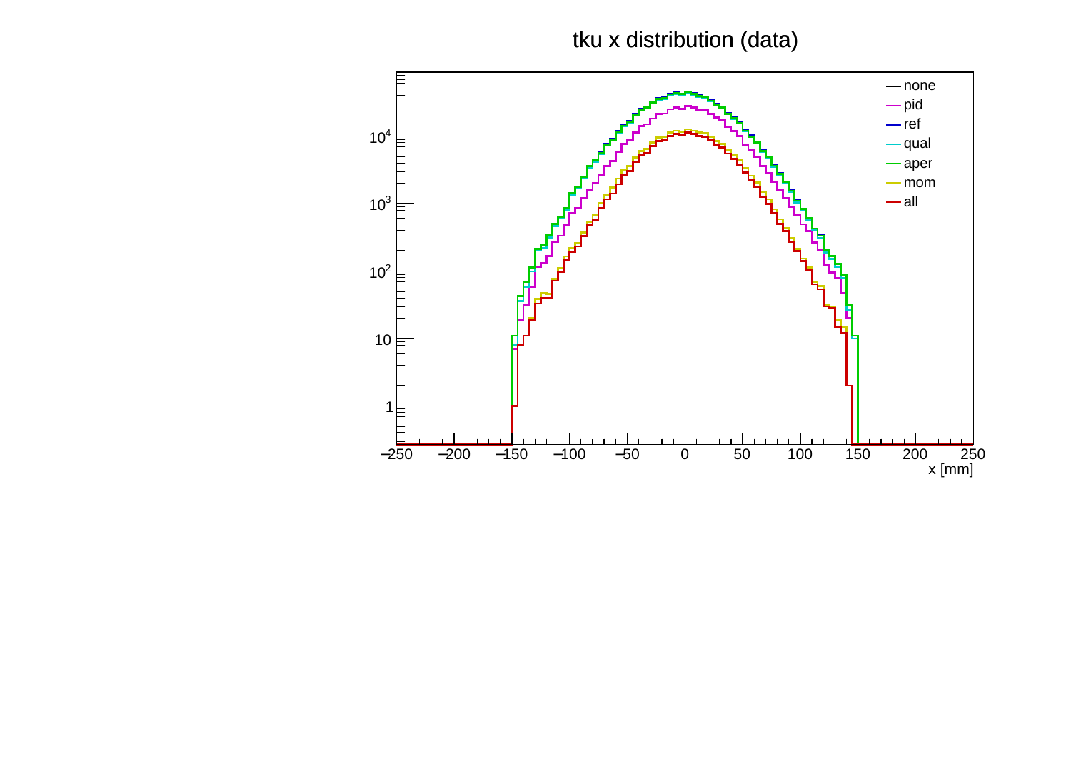## tku x distribution (data)

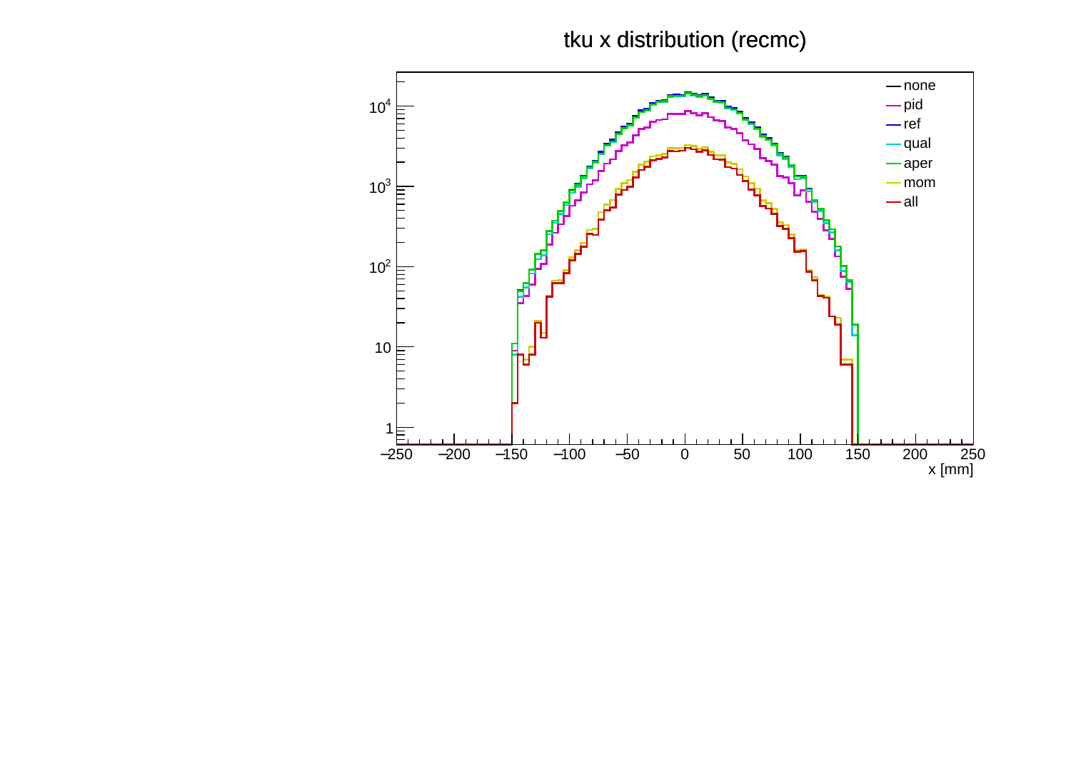## tku x distribution (recmc)

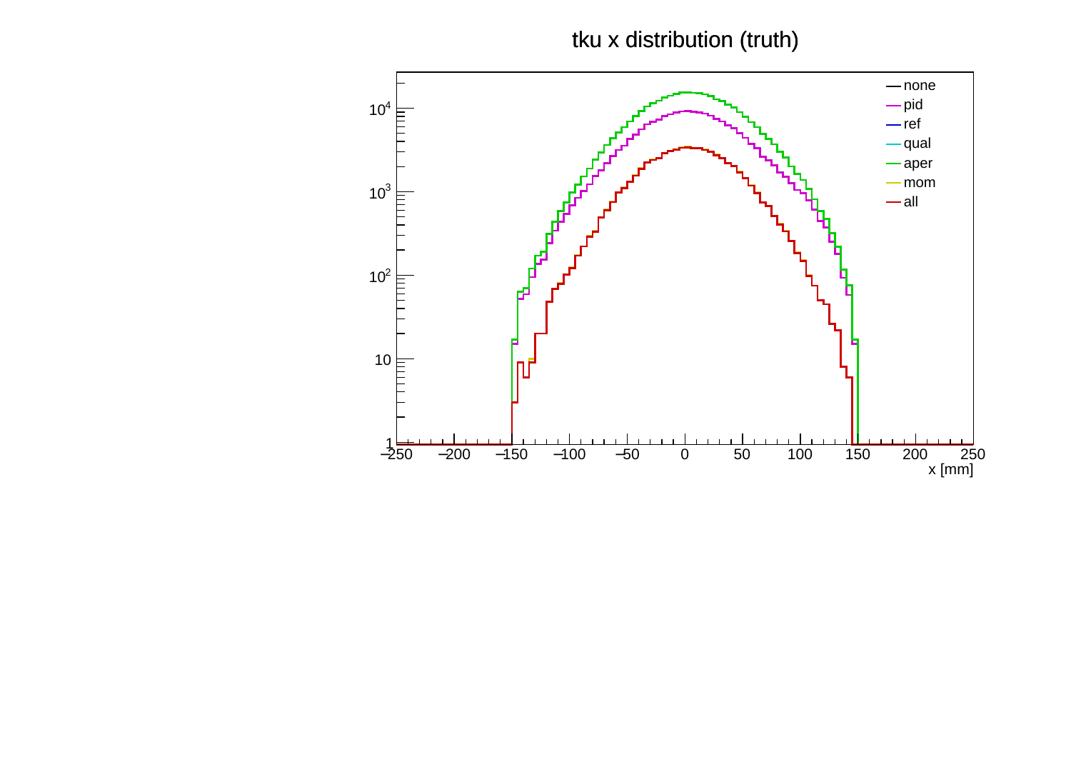tku x distribution (truth)

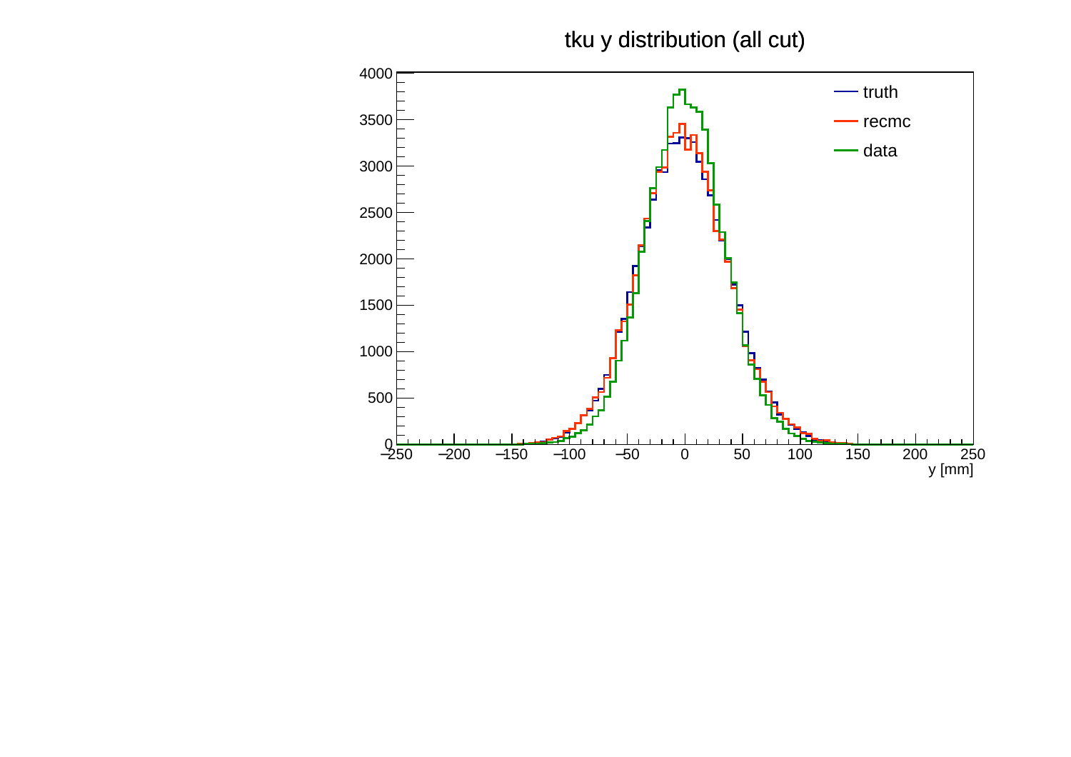tku y distribution (all cut)

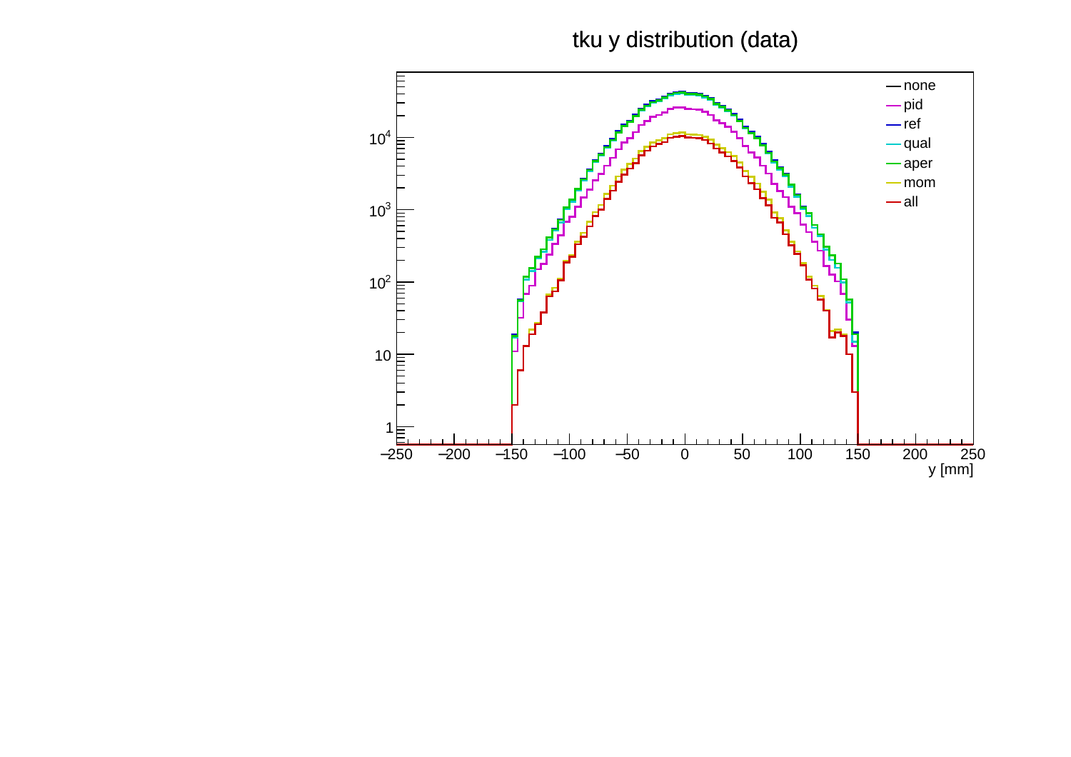## tku y distribution (data)

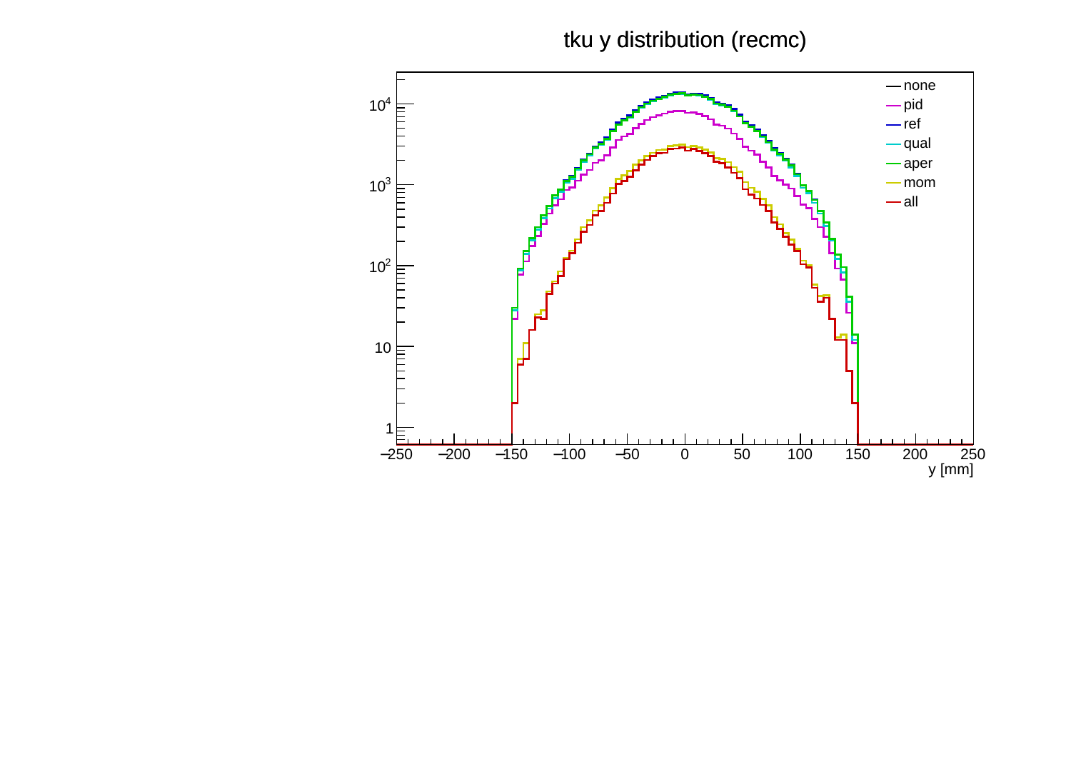## tku y distribution (recmc)

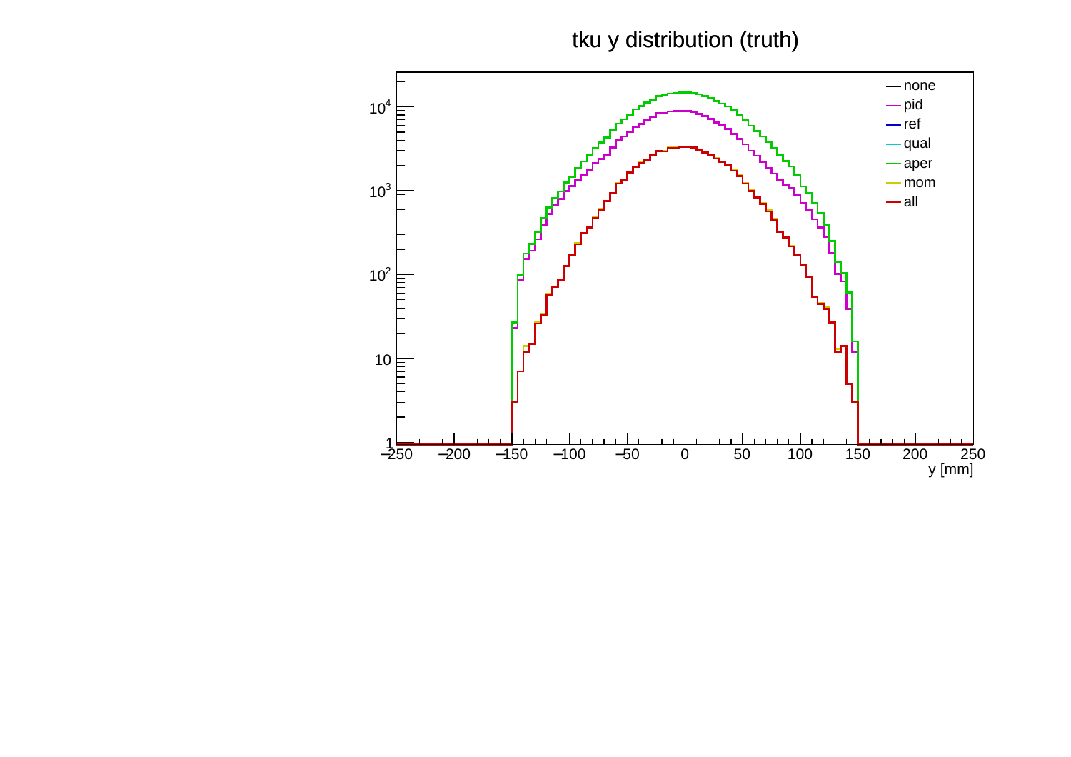tku y distribution (truth)

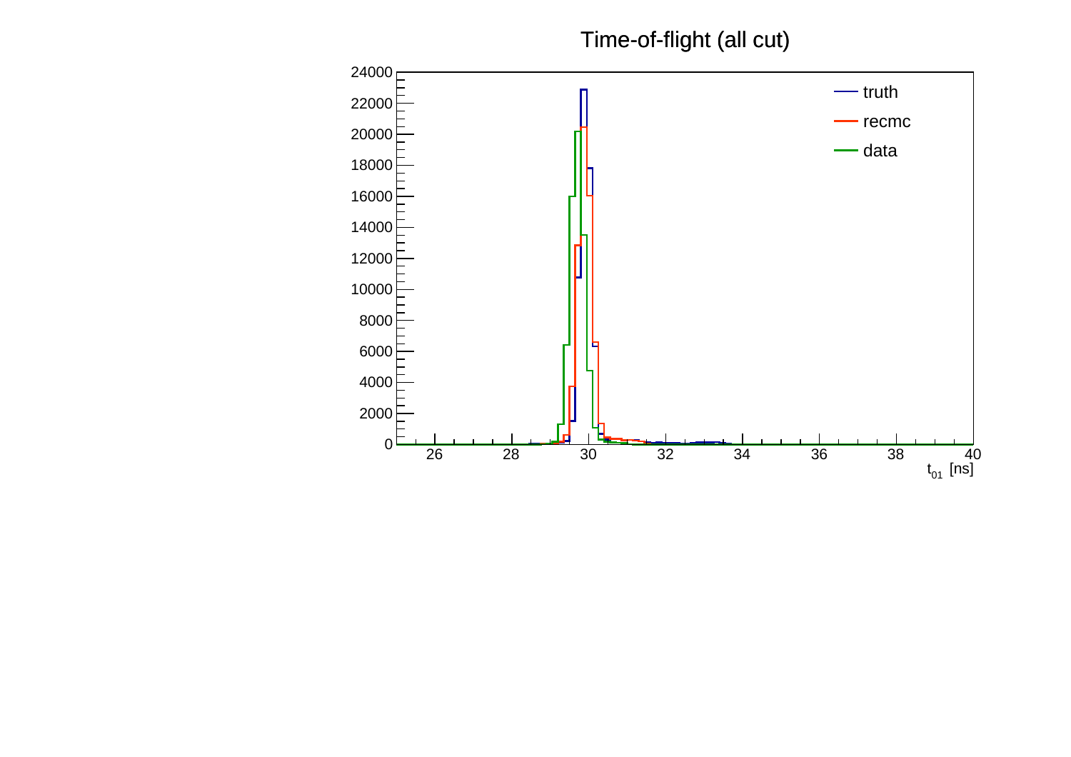## Time-of-flight (all cut)

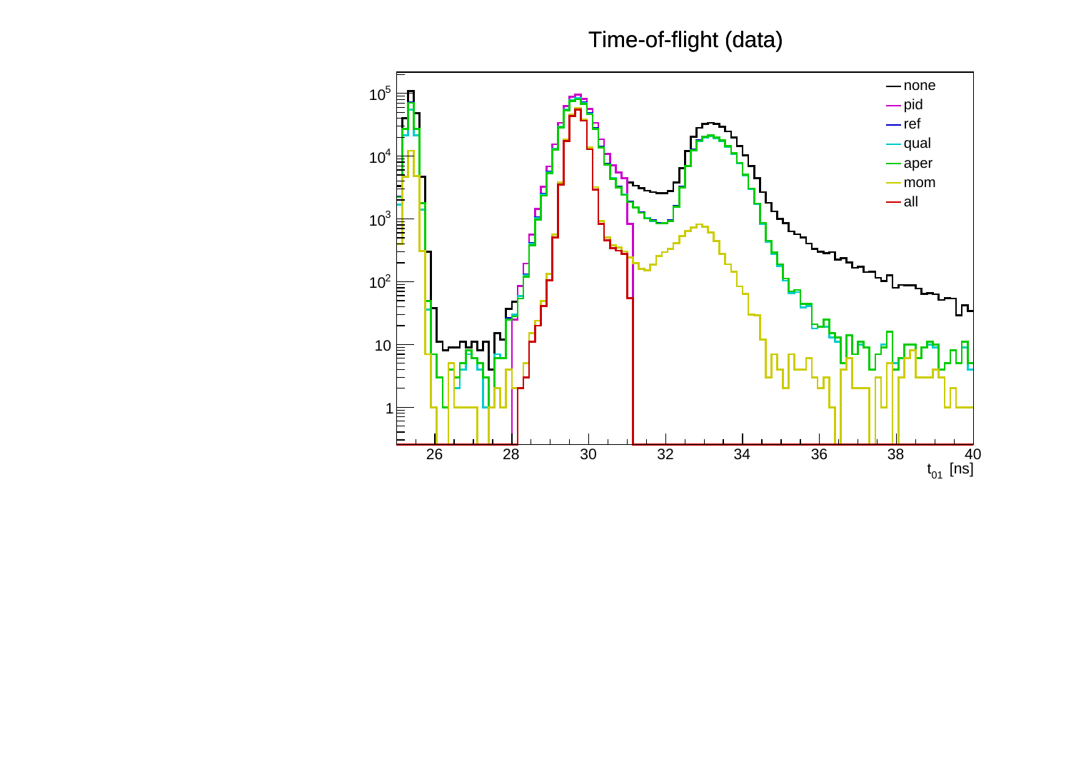## Time-of-flight (data)

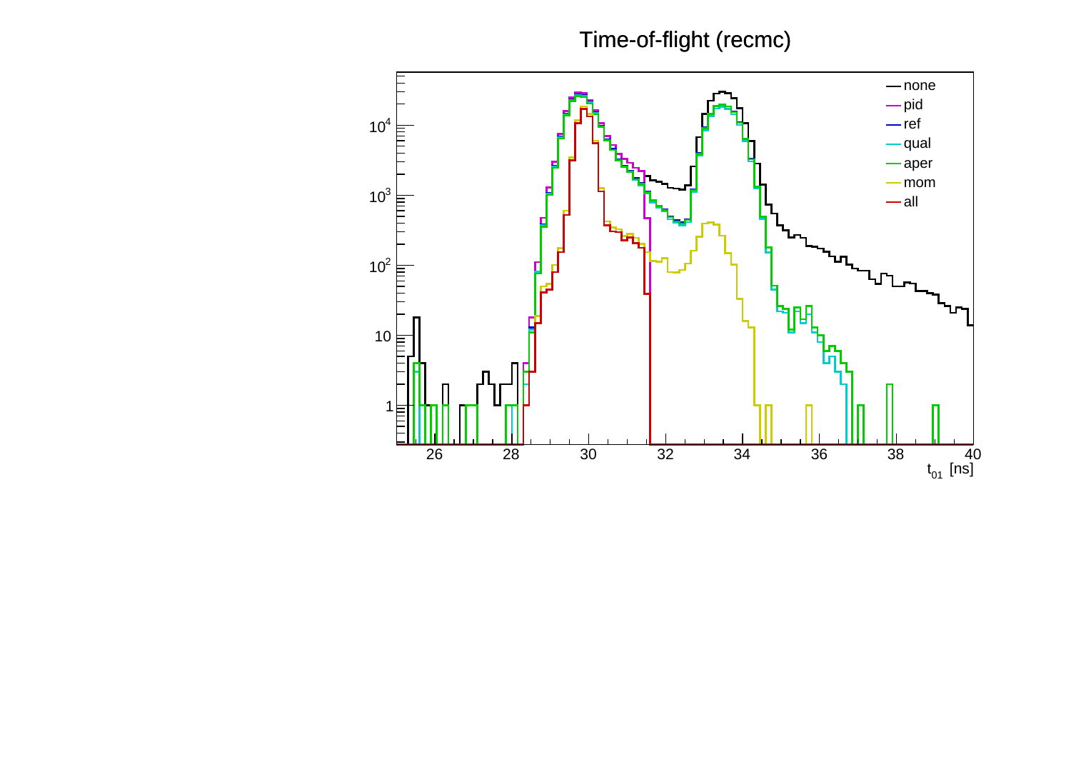Time-of-flight (recmc)